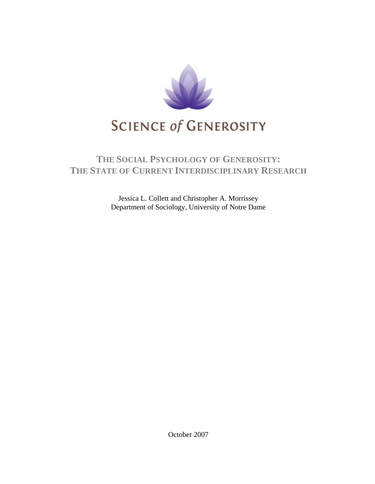

# **THE SOCIAL PSYCHOLOGY OF GENEROSITY: THE STATE OF CURRENT INTERDISCIPLINARY RESEARCH**

Jessica L. Collett and Christopher A. Morrissey Department of Sociology, University of Notre Dame

October 2007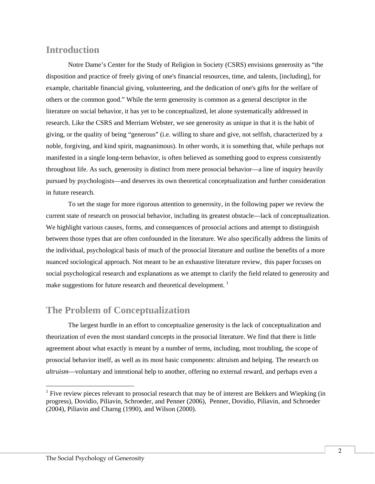### **Introduction**

Notre Dame's Center for the Study of Religion in Society (CSRS) envisions generosity as "the disposition and practice of freely giving of one's financial resources, time, and talents, [including], for example, charitable financial giving, volunteering, and the dedication of one's gifts for the welfare of others or the common good." While the term generosity is common as a general descriptor in the literature on social behavior, it has yet to be conceptualized, let alone systematically addressed in research. Like the CSRS and Merriam Webster, we see generosity as unique in that it is the habit of giving, or the quality of being "generous" (i.e. willing to share and give, not selfish, characterized by a noble, forgiving, and kind spirit, magnanimous). In other words, it is something that, while perhaps not manifested in a single long-term behavior, is often believed as something good to express consistently throughout life. As such, generosity is distinct from mere prosocial behavior—a line of inquiry heavily pursued by psychologists—and deserves its own theoretical conceptualization and further consideration in future research.

To set the stage for more rigorous attention to generosity, in the following paper we review the current state of research on prosocial behavior, including its greatest obstacle—lack of conceptualization. We highlight various causes, forms, and consequences of prosocial actions and attempt to distinguish between those types that are often confounded in the literature. We also specifically address the limits of the individual, psychological basis of much of the prosocial literature and outline the benefits of a more nuanced sociological approach. Not meant to be an exhaustive literature review, this paper focuses on social psychological research and explanations as we attempt to clarify the field related to generosity and make suggestions for future research and theoretical development.<sup>[1](#page-1-0)</sup>

## **The Problem of Conceptualization**

The largest hurdle in an effort to conceptualize generosity is the lack of conceptualization and theorization of even the most standard concepts in the prosocial literature. We find that there is little agreement about what exactly is meant by a number of terms, including, most troubling, the scope of prosocial behavior itself, as well as its most basic components: altruism and helping. The research on *altruism*—voluntary and intentional help to another, offering no external reward, and perhaps even a

l

<span id="page-1-0"></span><sup>&</sup>lt;sup>1</sup> Five review pieces relevant to prosocial research that may be of interest are Bekkers and Wiepking (in progress), Dovidio, Piliavin, Schroeder, and Penner (2006), Penner, Dovidio, Piliavin, and Schroeder (2004), Piliavin and Charng (1990), and Wilson (2000).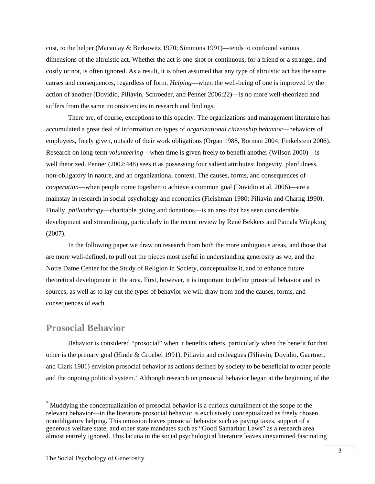cost, to the helper (Macaulay & Berkowitz 1970; Simmons 1991)—tends to confound various dimensions of the altruistic act. Whether the act is one-shot or continuous, for a friend or a stranger, and costly or not, is often ignored. As a result, it is often assumed that any type of altruistic act has the same causes and consequences, regardless of form. *Helping*—when the well-being of one is improved by the action of another (Dovidio, Piliavin, Schroeder, and Penner 2006:22)—is no more well-theorized and suffers from the same inconsistencies in research and findings.

There are, of course, exceptions to this opacity. The organizations and management literature has accumulated a great deal of information on types of *organizational citizenship behavior*—behaviors of employees, freely given, outside of their work obligations (Organ 1988, Borman 2004; Finkelstein 2006). Research on long-term *volunteering*—when time is given freely to benefit another (Wilson 2000)—is well theorized. Penner (2002:448) sees it as possessing four salient attributes: longevity, planfulness, non-obligatory in nature, and an organizational context. The causes, forms, and consequences of *cooperation*—when people come together to achieve a common goal (Dovidio et al. 2006)—are a mainstay in research in social psychology and economics (Fleishman 1980; Piliavin and Charng 1990). Finally, *philanthropy*—charitable giving and donations—is an area that has seen considerable development and streamlining, particularly in the recent review by René Bekkers and Pamala Wiepking (2007).

In the following paper we draw on research from both the more ambiguous areas, and those that are more well-defined, to pull out the pieces most useful in understanding generosity as we, and the Notre Dame Center for the Study of Religion in Society, conceptualize it, and to enhance future theoretical development in the area. First, however, it is important to define prosocial behavior and its sources, as well as to lay out the types of behavior we will draw from and the causes, forms, and consequences of each.

### **Prosocial Behavior**

 $\overline{a}$ 

Behavior is considered "prosocial" when it benefits others, particularly when the benefit for that other is the primary goal (Hinde & Groebel 1991). Piliavin and colleagues (Piliavin, Dovidio, Gaertner, and Clark 1981) envision prosocial behavior as actions defined by society to be beneficial to other people and the ongoing political system.<sup>[2](#page-2-0)</sup> Although research on prosocial behavior began at the beginning of the

<span id="page-2-0"></span><sup>&</sup>lt;sup>2</sup> Muddying the conceptualization of prosocial behavior is a curious curtailment of the scope of the relevant behavior—in the literature prosocial behavior is exclusively conceptualized as freely chosen, nonobligatory helping. This omission leaves prosocial behavior such as paying taxes, support of a generous welfare state, and other state mandates such as "Good Samaritan Laws" as a research area almost entirely ignored. This lacuna in the social psychological literature leaves unexamined fascinating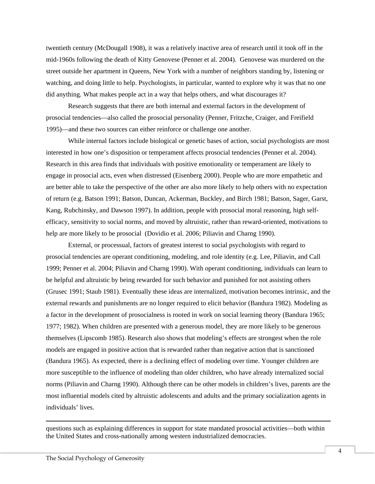twentieth century (McDougall 1908), it was a relatively inactive area of research until it took off in the mid-1960s following the death of Kitty Genovese (Penner et al. 2004). Genovese was murdered on the street outside her apartment in Queens, New York with a number of neighbors standing by, listening or watching, and doing little to help. Psychologists, in particular, wanted to explore why it was that no one did anything. What makes people act in a way that helps others, and what discourages it?

Research suggests that there are both internal and external factors in the development of prosocial tendencies—also called the prosocial personality (Penner, Fritzche, Craiger, and Freifield 1995)—and these two sources can either reinforce or challenge one another.

While internal factors include biological or genetic bases of action, social psychologists are most interested in how one's disposition or temperament affects prosocial tendencies (Penner et al. 2004). Research in this area finds that individuals with positive emotionality or temperament are likely to engage in prosocial acts, even when distressed (Eisenberg 2000). People who are more empathetic and are better able to take the perspective of the other are also more likely to help others with no expectation of return (e.g. Batson 1991; Batson, Duncan, Ackerman, Buckley, and Birch 1981; Batson, Sager, Garst, Kang, Rubchinsky, and Dawson 1997). In addition, people with prosocial moral reasoning, high selfefficacy, sensitivity to social norms, and moved by altruistic, rather than reward-oriented, motivations to help are more likely to be prosocial (Dovidio et al. 2006; Piliavin and Charng 1990).

External, or processual, factors of greatest interest to social psychologists with regard to prosocial tendencies are operant conditioning, modeling, and role identity (e.g. Lee, Piliavin, and Call 1999; Penner et al. 2004; Piliavin and Charng 1990). With operant conditioning, individuals can learn to be helpful and altruistic by being rewarded for such behavior and punished for not assisting others (Grusec 1991; Staub 1981). Eventually these ideas are internalized, motivation becomes intrinsic, and the external rewards and punishments are no longer required to elicit behavior (Bandura 1982). Modeling as a factor in the development of prosocialness is rooted in work on social learning theory (Bandura 1965; 1977; 1982). When children are presented with a generous model, they are more likely to be generous themselves (Lipscomb 1985). Research also shows that modeling's effects are strongest when the role models are engaged in positive action that is rewarded rather than negative action that is sanctioned (Bandura 1965). As expected, there is a declining effect of modeling over time. Younger children are more susceptible to the influence of modeling than older children, who have already internalized social norms (Piliavin and Charng 1990). Although there can be other models in children's lives, parents are the most influential models cited by altruistic adolescents and adults and the primary socialization agents in individuals' lives.

questions such as explaining differences in support for state mandated prosocial activities—both within the United States and cross-nationally among western industrialized democracies.

 $\overline{a}$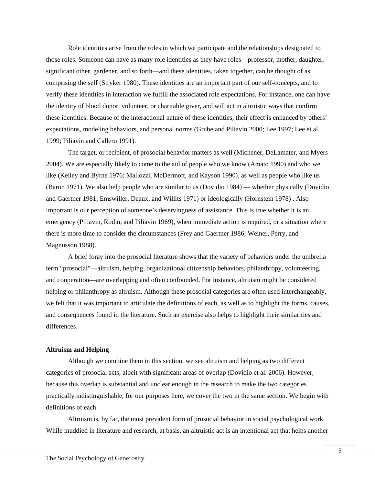Role identities arise from the roles in which we participate and the relationships designated to those roles. Someone can have as many role identities as they have roles—professor, mother, daughter, significant other, gardener, and so forth—and these identities, taken together, can be thought of as comprising the self (Stryker 1980). These identities are an important part of our self-concepts, and to verify these identities in interaction we fulfill the associated role expectations. For instance, one can have the identity of blood donor, volunteer, or charitable giver, and will act in altruistic ways that confirm these identities. Because of the interactional nature of these identities, their effect is enhanced by others' expectations, modeling behaviors, and personal norms (Grube and Piliavin 2000; Lee 1997; Lee et al. 1999; Piliavin and Callero 1991).

The target, or recipient, of prosocial behavior matters as well (Michener, DeLamater, and Myers 2004). We are especially likely to come to the aid of people who we know (Amato 1990) and who we like (Kelley and Byrne 1976; Mallozzi, McDermott, and Kayson 1990), as well as people who like us (Baron 1971). We also help people who are similar to us (Dovidio 1984) — whether physically (Dovidio and Gaertner 1981; Emswiller, Deaux, and Willits 1971) or ideologically (Hornstein 1978) . Also important is our perception of someone's deservingness of assistance. This is true whether it is an emergency (Piliavin, Rodin, and Piliavin 1969), when immediate action is required, or a situation where there is more time to consider the circumstances (Frey and Gaertner 1986; Weiner, Perry, and Magnusson 1988).

A brief foray into the prosocial literature shows that the variety of behaviors under the umbrella term "prosocial"—altruism, helping, organizational citizenship behaviors, philanthropy, volunteering, and cooperation—are overlapping and often confounded. For instance, altruism might be considered helping or philanthropy as altruism. Although these prosocial categories are often used interchangeably, we felt that it was important to articulate the definitions of each, as well as to highlight the forms, causes, and consequences found in the literature. Such an exercise also helps to highlight their similarities and differences.

#### **Altruism and Helping**

Although we combine them in this section, we see altruism and helping as two different categories of prosocial acts, albeit with significant areas of overlap (Dovidio et al. 2006). However, because this overlap is substantial and unclear enough in the research to make the two categories practically indistinguishable, for our purposes here, we cover the two in the same section. We begin with definitions of each.

Altruism is, by far, the most prevalent form of prosocial behavior in social psychological work. While muddied in literature and research, at basis, an altruistic act is an intentional act that helps another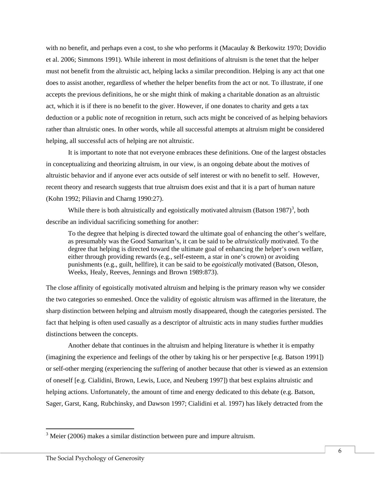with no benefit, and perhaps even a cost, to she who performs it (Macaulay & Berkowitz 1970; Dovidio et al. 2006; Simmons 1991). While inherent in most definitions of altruism is the tenet that the helper must not benefit from the altruistic act, helping lacks a similar precondition. Helping is any act that one does to assist another, regardless of whether the helper benefits from the act or not. To illustrate, if one accepts the previous definitions, he or she might think of making a charitable donation as an altruistic act, which it is if there is no benefit to the giver. However, if one donates to charity and gets a tax deduction or a public note of recognition in return, such acts might be conceived of as helping behaviors rather than altruistic ones. In other words, while all successful attempts at altruism might be considered helping, all successful acts of helping are not altruistic.

It is important to note that not everyone embraces these definitions. One of the largest obstacles in conceptualizing and theorizing altruism, in our view, is an ongoing debate about the motives of altruistic behavior and if anyone ever acts outside of self interest or with no benefit to self. However, recent theory and research suggests that true altruism does exist and that it is a part of human nature (Kohn 1992; Piliavin and Charng 1990:27).

While there is both altruistically and egoistically motivated altruism (Batson  $1987$ )<sup>[3](#page-5-0)</sup>, both describe an individual sacrificing something for another:

To the degree that helping is directed toward the ultimate goal of enhancing the other's welfare, as presumably was the Good Samaritan's, it can be said to be *altruistically* motivated. To the degree that helping is directed toward the ultimate goal of enhancing the helper's own welfare, either through providing rewards (e.g., self-esteem, a star in one's crown) or avoiding punishments (e.g., guilt, hellfire), it can be said to be *egoistically* motivated (Batson, Oleson, Weeks, Healy, Reeves, Jennings and Brown 1989:873).

The close affinity of egoistically motivated altruism and helping is the primary reason why we consider the two categories so enmeshed. Once the validity of egoistic altruism was affirmed in the literature, the sharp distinction between helping and altruism mostly disappeared, though the categories persisted. The fact that helping is often used casually as a descriptor of altruistic acts in many studies further muddies distinctions between the concepts.

Another debate that continues in the altruism and helping literature is whether it is empathy (imagining the experience and feelings of the other by taking his or her perspective [e.g. Batson 1991]) or self-other merging (experiencing the suffering of another because that other is viewed as an extension of oneself [e.g. Cialidini, Brown, Lewis, Luce, and Neuberg 1997]) that best explains altruistic and helping actions. Unfortunately, the amount of time and energy dedicated to this debate (e.g. Batson, Sager, Garst, Kang, Rubchinsky, and Dawson 1997; Cialidini et al. 1997) has likely detracted from the

 $\overline{a}$ 

<span id="page-5-0"></span> $3$  Meier (2006) makes a similar distinction between pure and impure altruism.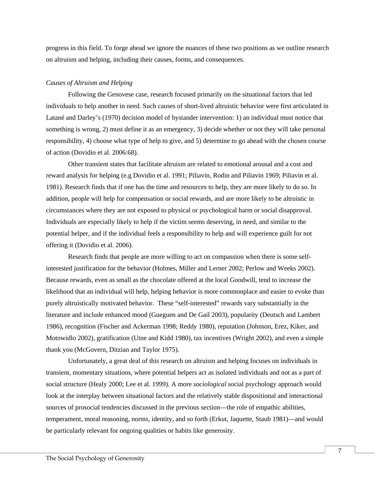progress in this field. To forge ahead we ignore the nuances of these two positions as we outline research on altruism and helping, including their causes, forms, and consequences.

#### *Causes of Altruism and Helping*

Following the Genovese case, research focused primarily on the situational factors that led individuals to help another in need. Such causes of short-lived altruistic behavior were first articulated in Latané and Darley's (1970) decision model of bystander intervention: 1) an individual must notice that something is wrong, 2) must define it as an emergency, 3) decide whether or not they will take personal responsibility, 4) choose what type of help to give, and 5) determine to go ahead with the chosen course of action (Dovidio et al. 2006:68).

Other transient states that facilitate altruism are related to emotional arousal and a cost and reward analysis for helping (e.g Dovidio et al. 1991; Piliavin, Rodin and Piliavin 1969; Piliavin et al. 1981). Research finds that if one has the time and resources to help, they are more likely to do so. In addition, people will help for compensation or social rewards, and are more likely to be altruistic in circumstances where they are not exposed to physical or psychological harm or social disapproval. Individuals are especially likely to help if the victim seems deserving, in need, and similar to the potential helper, and if the individual feels a responsibility to help and will experience guilt for not offering it (Dovidio et al. 2006).

Research finds that people are more willing to act on compassion when there is some selfinterested justification for the behavior (Holmes, Miller and Lerner 2002; Perlow and Weeks 2002). Because rewards, even as small as the chocolate offered at the local Goodwill, tend to increase the likelihood that an individual will help, helping behavior is more commonplace and easier to evoke than purely altruistically motivated behavior. These "self-interested" rewards vary substantially in the literature and include enhanced mood (Gueguen and De Gail 2003), popularity (Deutsch and Lambert 1986), recognition (Fischer and Ackerman 1998; Reddy 1980), reputation (Johnson, Erez, Kiker, and Motowidlo 2002), gratification (Utne and Kidd 1980), tax incentives (Wright 2002), and even a simple thank you (McGovern, Ditzian and Taylor 1975).

Unfortunately, a great deal of this research on altruism and helping focuses on individuals in transient, momentary situations, where potential helpers act as isolated individuals and not as a part of social structure (Healy 2000; Lee et al. 1999). A more *sociological* social psychology approach would look at the interplay between situational factors and the relatively stable dispositional and interactional sources of prosocial tendencies discussed in the previous section—the role of empathic abilities, temperament, moral reasoning, norms, identity, and so forth (Erkut, Jaquette, Staub 1981)—and would be particularly relevant for ongoing qualities or habits like generosity.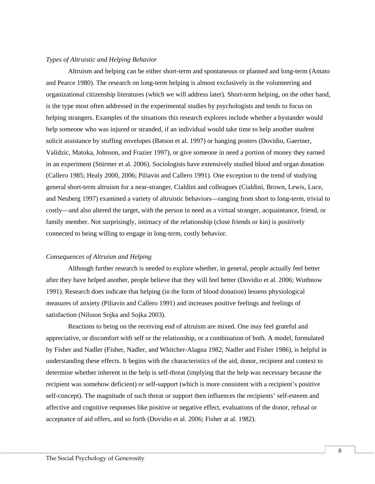#### *Types of Altruistic and Helping Behavior*

Altruism and helping can be either short-term and spontaneous or planned and long-term (Amato and Pearce 1980). The research on long-term helping is almost exclusively in the volunteering and organizational citizenship literatures (which we will address later). Short-term helping, on the other hand, is the type most often addressed in the experimental studies by psychologists and tends to focus on helping strangers. Examples of the situations this research explores include whether a bystander would help someone who was injured or stranded, if an individual would take time to help another student solicit assistance by stuffing envelopes (Batson et al. 1997) or hanging posters (Dovidio, Gaertner, Validzic, Matoka, Johnson, and Frazier 1997), or give someone in need a portion of money they earned in an experiment (Stürmer et al. 2006). Sociologists have extensively studied blood and organ donation (Callero 1985; Healy 2000, 2006; Piliavin and Callero 1991). One exception to the trend of studying general short-term altruism for a near-stranger, Cialdini and colleagues (Cialdini, Brown, Lewis, Luce, and Neuberg 1997) examined a variety of altruistic behaviors—ranging from short to long-term, trivial to costly—and also altered the target, with the person in need as a virtual stranger, acquaintance, friend, or family member. Not surprisingly, intimacy of the relationship (close friends or kin) is positively connected to being willing to engage in long-term, costly behavior.

#### *Consequences of Altruism and Helping*

Although further research is needed to explore whether, in general, people actually feel better after they have helped another, people believe that they will feel better (Dovidio et al. 2006; Wuthnow 1991). Research does indicate that helping (in the form of blood donation) lessens physiological measures of anxiety (Piliavin and Callero 1991) and increases positive feelings and feelings of satisfaction (Nilsson Sojka and Sojka 2003).

Reactions to being on the receiving end of altruism are mixed. One may feel grateful and appreciative, or discomfort with self or the relationship, or a combination of both. A model, formulated by Fisher and Nadler (Fisher, Nadler, and Whitcher-Alagna 1982; Nadler and Fisher 1986), is helpful in understanding these effects. It begins with the characteristics of the aid, donor, recipient and context to determine whether inherent in the help is self-threat (implying that the help was necessary because the recipient was somehow deficient) or self-support (which is more consistent with a recipient's positive self-concept). The magnitude of such threat or support then influences the recipients' self-esteem and affective and cognitive responses like positive or negative effect, evaluations of the donor, refusal or acceptance of aid offers, and so forth (Dovidio et al. 2006; Fisher at al. 1982).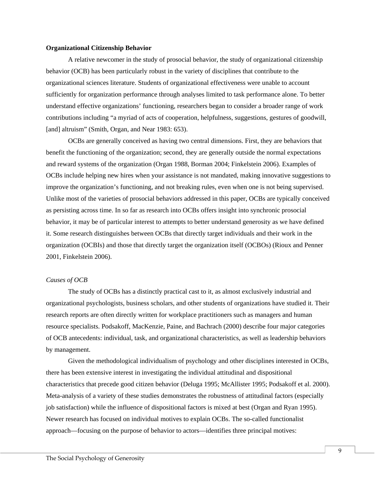#### **Organizational Citizenship Behavior**

A relative newcomer in the study of prosocial behavior, the study of organizational citizenship behavior (OCB) has been particularly robust in the variety of disciplines that contribute to the organizational sciences literature. Students of organizational effectiveness were unable to account sufficiently for organization performance through analyses limited to task performance alone. To better understand effective organizations' functioning, researchers began to consider a broader range of work contributions including "a myriad of acts of cooperation, helpfulness, suggestions, gestures of goodwill, [and] altruism" (Smith, Organ, and Near 1983: 653).

OCBs are generally conceived as having two central dimensions. First, they are behaviors that benefit the functioning of the organization; second, they are generally outside the normal expectations and reward systems of the organization (Organ 1988, Borman 2004; Finkelstein 2006). Examples of OCBs include helping new hires when your assistance is not mandated, making innovative suggestions to improve the organization's functioning, and not breaking rules, even when one is not being supervised. Unlike most of the varieties of prosocial behaviors addressed in this paper, OCBs are typically conceived as persisting across time. In so far as research into OCBs offers insight into synchronic prosocial behavior, it may be of particular interest to attempts to better understand generosity as we have defined it. Some research distinguishes between OCBs that directly target individuals and their work in the organization (OCBIs) and those that directly target the organization itself (OCBOs) (Rioux and Penner 2001, Finkelstein 2006).

#### *Causes of OCB*

The study of OCBs has a distinctly practical cast to it, as almost exclusively industrial and organizational psychologists, business scholars, and other students of organizations have studied it. Their research reports are often directly written for workplace practitioners such as managers and human resource specialists. Podsakoff, MacKenzie, Paine, and Bachrach (2000) describe four major categories of OCB antecedents: individual, task, and organizational characteristics, as well as leadership behaviors by management.

Given the methodological individualism of psychology and other disciplines interested in OCBs, there has been extensive interest in investigating the individual attitudinal and dispositional characteristics that precede good citizen behavior (Deluga 1995; McAllister 1995; Podsakoff et al. 2000). Meta-analysis of a variety of these studies demonstrates the robustness of attitudinal factors (especially job satisfaction) while the influence of dispositional factors is mixed at best (Organ and Ryan 1995). Newer research has focused on individual motives to explain OCBs. The so-called functionalist approach—focusing on the purpose of behavior to actors—identifies three principal motives: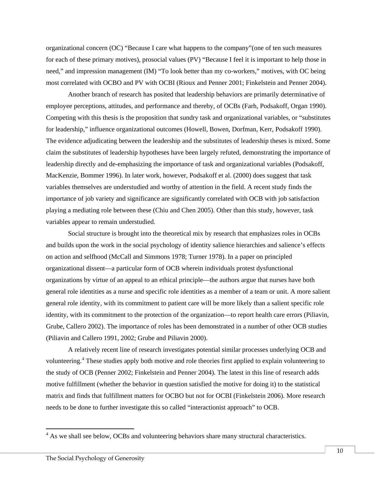organizational concern (OC) "Because I care what happens to the company"(one of ten such measures for each of these primary motives), prosocial values (PV) "Because I feel it is important to help those in need," and impression management (IM) "To look better than my co-workers," motives, with OC being most correlated with OCBO and PV with OCBI (Rioux and Penner 2001; Finkelstein and Penner 2004).

Another branch of research has posited that leadership behaviors are primarily determinative of employee perceptions, attitudes, and performance and thereby, of OCBs (Farh, Podsakoff, Organ 1990). Competing with this thesis is the proposition that sundry task and organizational variables, or "substitutes for leadership," influence organizational outcomes (Howell, Bowen, Dorfman, Kerr, Podsakoff 1990). The evidence adjudicating between the leadership and the substitutes of leadership theses is mixed. Some claim the substitutes of leadership hypotheses have been largely refuted, demonstrating the importance of leadership directly and de-emphasizing the importance of task and organizational variables (Podsakoff, MacKenzie, Bommer 1996). In later work, however, Podsakoff et al. (2000) does suggest that task variables themselves are understudied and worthy of attention in the field. A recent study finds the importance of job variety and significance are significantly correlated with OCB with job satisfaction playing a mediating role between these (Chiu and Chen 2005). Other than this study, however, task variables appear to remain understudied.

Social structure is brought into the theoretical mix by research that emphasizes roles in OCBs and builds upon the work in the social psychology of identity salience hierarchies and salience's effects on action and selfhood (McCall and Simmons 1978; Turner 1978). In a paper on principled organizational dissent—a particular form of OCB wherein individuals protest dysfunctional organizations by virtue of an appeal to an ethical principle—the authors argue that nurses have both general role identities as a nurse and specific role identities as a member of a team or unit. A more salient general role identity, with its commitment to patient care will be more likely than a salient specific role identity, with its commitment to the protection of the organization—to report health care errors (Piliavin, Grube, Callero 2002). The importance of roles has been demonstrated in a number of other OCB studies (Piliavin and Callero 1991, 2002; Grube and Piliavin 2000).

A relatively recent line of research investigates potential similar processes underlying OCB and volunteering.[4](#page-9-0) These studies apply both motive and role theories first applied to explain volunteering to the study of OCB (Penner 2002; Finkelstein and Penner 2004). The latest in this line of research adds motive fulfillment (whether the behavior in question satisfied the motive for doing it) to the statistical matrix and finds that fulfillment matters for OCBO but not for OCBI (Finkelstein 2006). More research needs to be done to further investigate this so called "interactionist approach" to OCB.

 $\overline{a}$ 

<span id="page-9-0"></span> $4$  As we shall see below, OCBs and volunteering behaviors share many structural characteristics.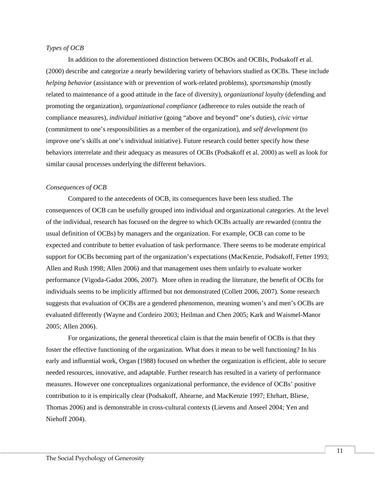#### *Types of OCB*

In addition to the aforementioned distinction between OCBOs and OCBIs, Podsakoff et al. (2000) describe and categorize a nearly bewildering variety of behaviors studied as OCBs. These include *helping behavior* (assistance with or prevention of work-related problems), *sportsmanship* (mostly related to maintenance of a good attitude in the face of diversity), *organizational loyalty* (defending and promoting the organization), *organizational compliance* (adherence to rules outside the reach of compliance measures), *individual initiative* (going "above and beyond" one's duties), *civic virtue* (commitment to one's responsibilities as a member of the organization), and *self development* (to improve one's skills at one's individual initiative). Future research could better specify how these behaviors interrelate and their adequacy as measures of OCBs (Podsakoff et al. 2000) as well as look for similar causal processes underlying the different behaviors.

#### *Consequences of OCB*

Compared to the antecedents of OCB, its consequences have been less studied. The consequences of OCB can be usefully grouped into individual and organizational categories. At the level of the individual, research has focused on the degree to which OCBs actually are rewarded (contra the usual definition of OCBs) by managers and the organization. For example, OCB can come to be expected and contribute to better evaluation of task performance. There seems to be moderate empirical support for OCBs becoming part of the organization's expectations (MacKenzie, Podsakoff, Fetter 1993; Allen and Rush 1998; Allen 2006) and that management uses them unfairly to evaluate worker performance (Vigoda-Gadot 2006, 2007). More often in reading the literature, the benefit of OCBs for individuals seems to be implicitly affirmed but not demonstrated (Collett 2006, 2007). Some research suggests that evaluation of OCBs are a gendered phenomenon, meaning women's and men's OCBs are evaluated differently (Wayne and Cordeiro 2003; Heilman and Chen 2005; Kark and Waismel-Manor 2005; Allen 2006).

For organizations, the general theoretical claim is that the main benefit of OCBs is that they foster the effective functioning of the organization. What does it mean to be well functioning? In his early and influential work, Organ (1988) focused on whether the organization is efficient, able to secure needed resources, innovative, and adaptable. Further research has resulted in a variety of performance measures. However one conceptualizes organizational performance, the evidence of OCBs' positive contribution to it is empirically clear (Podsakoff, Ahearne, and MacKenzie 1997; Ehrhart, Bliese, Thomas 2006) and is demonstrable in cross-cultural contexts (Lievens and Anseel 2004; Yen and Niehoff 2004).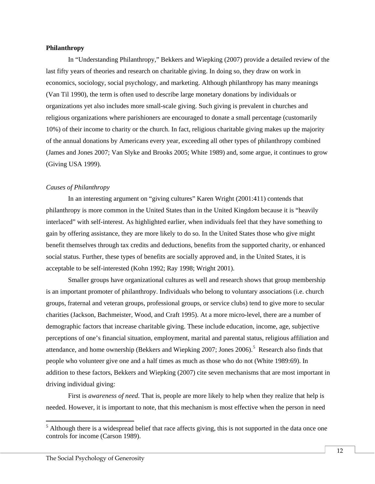#### **Philanthropy**

In "Understanding Philanthropy," Bekkers and Wiepking (2007) provide a detailed review of the last fifty years of theories and research on charitable giving. In doing so, they draw on work in economics, sociology, social psychology, and marketing. Although philanthropy has many meanings (Van Til 1990), the term is often used to describe large monetary donations by individuals or organizations yet also includes more small-scale giving. Such giving is prevalent in churches and religious organizations where parishioners are encouraged to donate a small percentage (customarily 10%) of their income to charity or the church. In fact, religious charitable giving makes up the majority of the annual donations by Americans every year, exceeding all other types of philanthropy combined (James and Jones 2007; Van Slyke and Brooks 2005; White 1989) and, some argue, it continues to grow (Giving USA 1999).

#### *Causes of Philanthropy*

In an interesting argument on "giving cultures" Karen Wright (2001:411) contends that philanthropy is more common in the United States than in the United Kingdom because it is "heavily interlaced" with self-interest. As highlighted earlier, when individuals feel that they have something to gain by offering assistance, they are more likely to do so. In the United States those who give might benefit themselves through tax credits and deductions, benefits from the supported charity, or enhanced social status. Further, these types of benefits are socially approved and, in the United States, it is acceptable to be self-interested (Kohn 1992; Ray 1998; Wright 2001).

Smaller groups have organizational cultures as well and research shows that group membership is an important promoter of philanthropy. Individuals who belong to voluntary associations (i.e. church groups, fraternal and veteran groups, professional groups, or service clubs) tend to give more to secular charities (Jackson, Bachmeister, Wood, and Craft 1995). At a more micro-level, there are a number of demographic factors that increase charitable giving. These include education, income, age, subjective perceptions of one's financial situation, employment, marital and parental status, religious affiliation and attendance, and home ownership (Bekkers and Wiepking 2007; Jones 2006).<sup>[5](#page-11-0)</sup> Research also finds that people who volunteer give one and a half times as much as those who do not (White 1989:69). In addition to these factors, Bekkers and Wiepking (2007) cite seven mechanisms that are most important in driving individual giving:

First is *awareness of need*. That is, people are more likely to help when they realize that help is needed. However, it is important to note, that this mechanism is most effective when the person in need

 $\overline{a}$ 

<span id="page-11-0"></span> $<sup>5</sup>$  Although there is a widespread belief that race affects giving, this is not supported in the data once one</sup> controls for income (Carson 1989).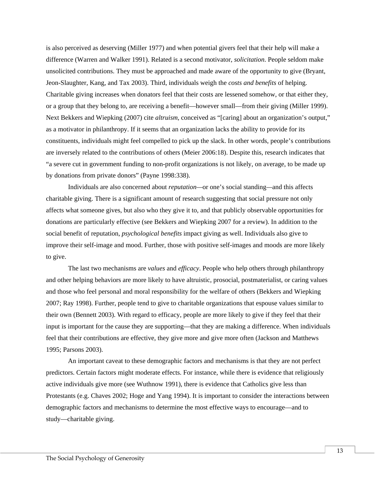is also perceived as deserving (Miller 1977) and when potential givers feel that their help will make a difference (Warren and Walker 1991). Related is a second motivator, *solicitation*. People seldom make unsolicited contributions. They must be approached and made aware of the opportunity to give (Bryant, Jeon-Slaughter, Kang, and Tax 2003). Third, individuals weigh the *costs and benefits* of helping. Charitable giving increases when donators feel that their costs are lessened somehow, or that either they, or a group that they belong to, are receiving a benefit—however small—from their giving (Miller 1999). Next Bekkers and Wiepking (2007) cite *altruism*, conceived as "[caring] about an organization's output," as a motivator in philanthropy. If it seems that an organization lacks the ability to provide for its constituents, individuals might feel compelled to pick up the slack. In other words, people's contributions are inversely related to the contributions of others (Meier 2006:18). Despite this, research indicates that "a severe cut in government funding to non-profit organizations is not likely, on average, to be made up by donations from private donors" (Payne 1998:338).

Individuals are also concerned about *reputation—*or one's social standing*—*and this affects charitable giving. There is a significant amount of research suggesting that social pressure not only affects what someone gives, but also who they give it to, and that publicly observable opportunities for donations are particularly effective (see Bekkers and Wiepking 2007 for a review). In addition to the social benefit of reputation, *psychological benefits* impact giving as well. Individuals also give to improve their self-image and mood. Further, those with positive self-images and moods are more likely to give.

The last two mechanisms are *values* and *efficacy*. People who help others through philanthropy and other helping behaviors are more likely to have altruistic, prosocial, postmaterialist, or caring values and those who feel personal and moral responsibility for the welfare of others (Bekkers and Wiepking 2007; Ray 1998). Further, people tend to give to charitable organizations that espouse values similar to their own (Bennett 2003). With regard to efficacy, people are more likely to give if they feel that their input is important for the cause they are supporting—that they are making a difference. When individuals feel that their contributions are effective, they give more and give more often (Jackson and Matthews 1995; Parsons 2003).

An important caveat to these demographic factors and mechanisms is that they are not perfect predictors. Certain factors might moderate effects. For instance, while there is evidence that religiously active individuals give more (see Wuthnow 1991), there is evidence that Catholics give less than Protestants (e.g. Chaves 2002; Hoge and Yang 1994). It is important to consider the interactions between demographic factors and mechanisms to determine the most effective ways to encourage—and to study—charitable giving.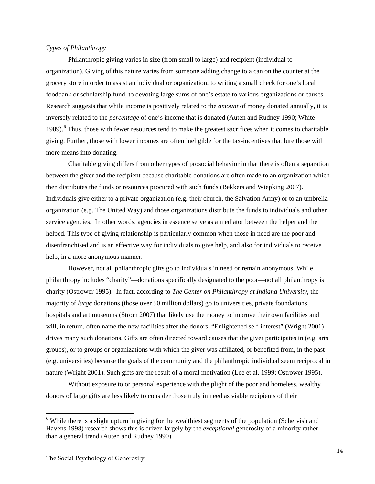#### *Types of Philanthropy*

Philanthropic giving varies in size (from small to large) and recipient (individual to organization). Giving of this nature varies from someone adding change to a can on the counter at the grocery store in order to assist an individual or organization, to writing a small check for one's local foodbank or scholarship fund, to devoting large sums of one's estate to various organizations or causes. Research suggests that while income is positively related to the *amount* of money donated annually, it is inversely related to the *percentage* of one's income that is donated (Auten and Rudney 1990; White 1989).<sup>[6](#page-13-0)</sup> Thus, those with fewer resources tend to make the greatest sacrifices when it comes to charitable giving. Further, those with lower incomes are often ineligible for the tax-incentives that lure those with more means into donating.

Charitable giving differs from other types of prosocial behavior in that there is often a separation between the giver and the recipient because charitable donations are often made to an organization which then distributes the funds or resources procured with such funds (Bekkers and Wiepking 2007). Individuals give either to a private organization (e.g. their church, the Salvation Army) or to an umbrella organization (e.g. The United Way) and those organizations distribute the funds to individuals and other service agencies. In other words, agencies in essence serve as a mediator between the helper and the helped. This type of giving relationship is particularly common when those in need are the poor and disenfranchised and is an effective way for individuals to give help, and also for individuals to receive help, in a more anonymous manner.

However, not all philanthropic gifts go to individuals in need or remain anonymous. While philanthropy includes "charity"—donations specifically designated to the poor—not all philanthropy is charity (Ostrower 1995). In fact, according to *The Center on Philanthropy at Indiana University*, the majority of *large* donations (those over 50 million dollars) go to universities, private foundations, hospitals and art museums (Strom 2007) that likely use the money to improve their own facilities and will, in return, often name the new facilities after the donors. "Enlightened self-interest" (Wright 2001) drives many such donations. Gifts are often directed toward causes that the giver participates in (e.g. arts groups), or to groups or organizations with which the giver was affiliated, or benefited from, in the past (e.g. universities) because the goals of the community and the philanthropic individual seem reciprocal in nature (Wright 2001). Such gifts are the result of a moral motivation (Lee et al. 1999; Ostrower 1995).

Without exposure to or personal experience with the plight of the poor and homeless, wealthy donors of large gifts are less likely to consider those truly in need as viable recipients of their

l

<span id="page-13-0"></span><sup>&</sup>lt;sup>6</sup> While there is a slight upturn in giving for the wealthiest segments of the population (Schervish and Havens 1998) research shows this is driven largely by the *exceptional* generosity of a minority rather than a general trend (Auten and Rudney 1990).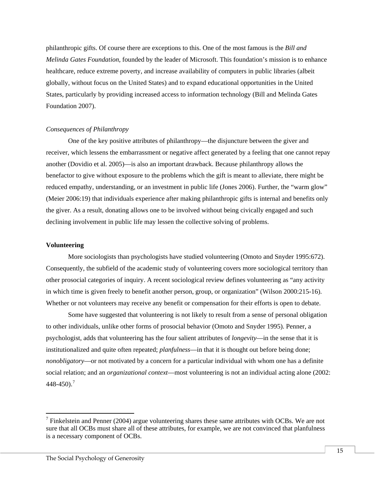philanthropic gifts. Of course there are exceptions to this. One of the most famous is the *Bill and Melinda Gates Foundation*, founded by the leader of Microsoft. This foundation's mission is to enhance healthcare, reduce extreme poverty, and increase availability of computers in public libraries (albeit globally, without focus on the United States) and to expand educational opportunities in the United States, particularly by providing increased access to information technology (Bill and Melinda Gates Foundation 2007).

#### *Consequences of Philanthropy*

One of the key positive attributes of philanthropy—the disjuncture between the giver and receiver, which lessens the embarrassment or negative affect generated by a feeling that one cannot repay another (Dovidio et al. 2005)—is also an important drawback. Because philanthropy allows the benefactor to give without exposure to the problems which the gift is meant to alleviate, there might be reduced empathy, understanding, or an investment in public life (Jones 2006). Further, the "warm glow" (Meier 2006:19) that individuals experience after making philanthropic gifts is internal and benefits only the giver. As a result, donating allows one to be involved without being civically engaged and such declining involvement in public life may lessen the collective solving of problems.

#### **Volunteering**

l

More sociologists than psychologists have studied volunteering (Omoto and Snyder 1995:672). Consequently, the subfield of the academic study of volunteering covers more sociological territory than other prosocial categories of inquiry. A recent sociological review defines volunteering as "any activity in which time is given freely to benefit another person, group, or organization" (Wilson 2000:215-16). Whether or not volunteers may receive any benefit or compensation for their efforts is open to debate.

Some have suggested that volunteering is not likely to result from a sense of personal obligation to other individuals, unlike other forms of prosocial behavior (Omoto and Snyder 1995). Penner, a psychologist, adds that volunteering has the four salient attributes of *longevity*—in the sense that it is institutionalized and quite often repeated; *planfulness*—in that it is thought out before being done; *nonobligatory*—or not motivated by a concern for a particular individual with whom one has a definite social relation; and an *organizational context*—most volunteering is not an individual acting alone (2002:  $448 - 450$ .<sup>[7](#page-14-0)</sup>

<span id="page-14-0"></span> $<sup>7</sup>$  Finkelstein and Penner (2004) argue volunteering shares these same attributes with OCBs. We are not</sup> sure that all OCBs must share all of these attributes, for example, we are not convinced that planfulness is a necessary component of OCBs.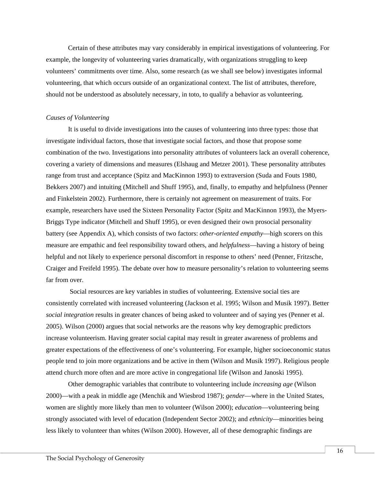Certain of these attributes may vary considerably in empirical investigations of volunteering. For example, the longevity of volunteering varies dramatically, with organizations struggling to keep volunteers' commitments over time. Also, some research (as we shall see below) investigates informal volunteering, that which occurs outside of an organizational context. The list of attributes, therefore, should not be understood as absolutely necessary, in toto, to qualify a behavior as volunteering.

#### *Causes of Volunteering*

It is useful to divide investigations into the causes of volunteering into three types: those that investigate individual factors, those that investigate social factors, and those that propose some combination of the two. Investigations into personality attributes of volunteers lack an overall coherence, covering a variety of dimensions and measures (Elshaug and Metzer 2001). These personality attributes range from trust and acceptance (Spitz and MacKinnon 1993) to extraversion (Suda and Fouts 1980, Bekkers 2007) and intuiting (Mitchell and Shuff 1995), and, finally, to empathy and helpfulness (Penner and Finkelstein 2002). Furthermore, there is certainly not agreement on measurement of traits. For example, researchers have used the Sixteen Personality Factor (Spitz and MacKinnon 1993), the Myers-Briggs Type indicator (Mitchell and Shuff 1995), or even designed their own prosocial personality battery (see Appendix A), which consists of two factors: *other-oriented empathy*—high scorers on this measure are empathic and feel responsibility toward others, and *helpfulness*—having a history of being helpful and not likely to experience personal discomfort in response to others' need (Penner, Fritzsche, Craiger and Freifeld 1995). The debate over how to measure personality's relation to volunteering seems far from over.

Social resources are key variables in studies of volunteering. Extensive social ties are consistently correlated with increased volunteering (Jackson et al. 1995; Wilson and Musik 1997). Better *social integration* results in greater chances of being asked to volunteer and of saying yes (Penner et al. 2005). Wilson (2000) argues that social networks are the reasons why key demographic predictors increase volunteerism. Having greater social capital may result in greater awareness of problems and greater expectations of the effectiveness of one's volunteering. For example, higher socioeconomic status people tend to join more organizations and be active in them (Wilson and Musik 1997). Religious people attend church more often and are more active in congregational life (Wilson and Janoski 1995).

Other demographic variables that contribute to volunteering include *increasing age* (Wilson 2000)—with a peak in middle age (Menchik and Wiesbrod 1987); *gender*—where in the United States, women are slightly more likely than men to volunteer (Wilson 2000); *education*—volunteering being strongly associated with level of education (Independent Sector 2002); and *ethnicity*—minorities being less likely to volunteer than whites (Wilson 2000). However, all of these demographic findings are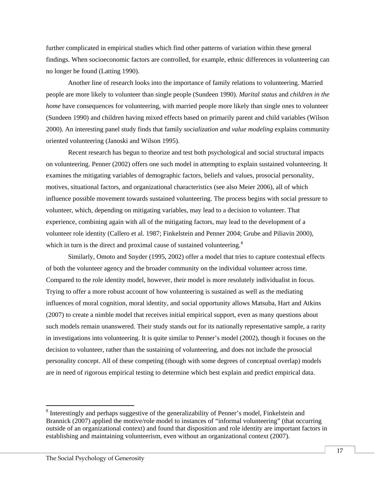further complicated in empirical studies which find other patterns of variation within these general findings. When socioeconomic factors are controlled, for example, ethnic differences in volunteering can no longer be found (Latting 1990).

Another line of research looks into the importance of family relations to volunteering. Married people are more likely to volunteer than single people (Sundeen 1990). *Marital status* and *children in the home* have consequences for volunteering, with married people more likely than single ones to volunteer (Sundeen 1990) and children having mixed effects based on primarily parent and child variables (Wilson 2000). An interesting panel study finds that family *socialization and value modeling* explains community oriented volunteering (Janoski and Wilson 1995).

Recent research has begun to theorize and test both psychological and social structural impacts on volunteering. Penner (2002) offers one such model in attempting to explain sustained volunteering. It examines the mitigating variables of demographic factors, beliefs and values, prosocial personality, motives, situational factors, and organizational characteristics (see also Meier 2006), all of which influence possible movement towards sustained volunteering. The process begins with social pressure to volunteer, which, depending on mitigating variables, may lead to a decision to volunteer. That experience, combining again with all of the mitigating factors, may lead to the development of a volunteer role identity (Callero et al. 1987; Finkelstein and Penner 2004; Grube and Piliavin 2000), which in turn is the direct and proximal cause of sustained volunteering.<sup>[8](#page-16-0)</sup>

Similarly, Omoto and Snyder (1995, 2002) offer a model that tries to capture contextual effects of both the volunteer agency and the broader community on the individual volunteer across time. Compared to the role identity model, however, their model is more resolutely individualist in focus. Trying to offer a more robust account of how volunteering is sustained as well as the mediating influences of moral cognition, moral identity, and social opportunity allows Matsuba, Hart and Atkins (2007) to create a nimble model that receives initial empirical support, even as many questions about such models remain unanswered. Their study stands out for its nationally representative sample, a rarity in investigations into volunteering. It is quite similar to Penner's model (2002), though it focuses on the decision to volunteer, rather than the sustaining of volunteering, and does not include the prosocial personality concept. All of these competing (though with some degrees of conceptual overlap) models are in need of rigorous empirical testing to determine which best explain and predict empirical data.

l

<span id="page-16-0"></span><sup>&</sup>lt;sup>8</sup> Interestingly and perhaps suggestive of the generalizability of Penner's model, Finkelstein and Brannick (2007) applied the motive/role model to instances of "informal volunteering" (that occurring outside of an organizational context) and found that disposition and role identity are important factors in establishing and maintaining volunteerism, even without an organizational context (2007).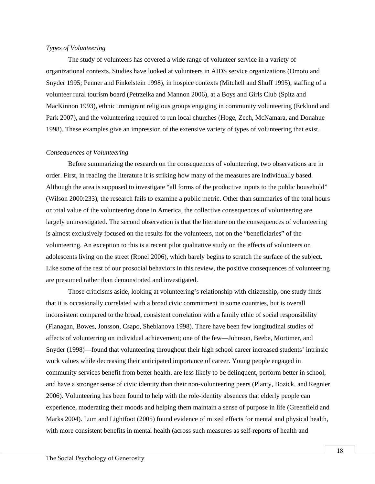#### *Types of Volunteering*

The study of volunteers has covered a wide range of volunteer service in a variety of organizational contexts. Studies have looked at volunteers in AIDS service organizations (Omoto and Snyder 1995; Penner and Finkelstein 1998), in hospice contexts (Mitchell and Shuff 1995), staffing of a volunteer rural tourism board (Petrzelka and Mannon 2006), at a Boys and Girls Club (Spitz and MacKinnon 1993), ethnic immigrant religious groups engaging in community volunteering (Ecklund and Park 2007), and the volunteering required to run local churches (Hoge, Zech, McNamara, and Donahue 1998). These examples give an impression of the extensive variety of types of volunteering that exist.

#### *Consequences of Volunteering*

Before summarizing the research on the consequences of volunteering, two observations are in order. First, in reading the literature it is striking how many of the measures are individually based. Although the area is supposed to investigate "all forms of the productive inputs to the public household" (Wilson 2000:233), the research fails to examine a public metric. Other than summaries of the total hours or total value of the volunteering done in America, the collective consequences of volunteering are largely uninvestigated. The second observation is that the literature on the consequences of volunteering is almost exclusively focused on the results for the volunteers, not on the "beneficiaries" of the volunteering. An exception to this is a recent pilot qualitative study on the effects of volunteers on adolescents living on the street (Ronel 2006), which barely begins to scratch the surface of the subject. Like some of the rest of our prosocial behaviors in this review, the positive consequences of volunteering are presumed rather than demonstrated and investigated.

Those criticisms aside, looking at volunteering's relationship with citizenship, one study finds that it is occasionally correlated with a broad civic commitment in some countries, but is overall inconsistent compared to the broad, consistent correlation with a family ethic of social responsibility (Flanagan, Bowes, Jonsson, Csapo, Sheblanova 1998). There have been few longitudinal studies of affects of volunterring on individual achievement; one of the few—Johnson, Beebe, Mortimer, and Snyder (1998)—found that volunteering throughout their high school career increased students' intrinsic work values while decreasing their anticipated importance of career. Young people engaged in community services benefit from better health, are less likely to be delinquent, perform better in school, and have a stronger sense of civic identity than their non-volunteering peers (Planty, Bozick, and Regnier 2006). Volunteering has been found to help with the role-identity absences that elderly people can experience, moderating their moods and helping them maintain a sense of purpose in life (Greenfield and Marks 2004). Lum and Lightfoot (2005) found evidence of mixed effects for mental and physical health, with more consistent benefits in mental health (across such measures as self-reports of health and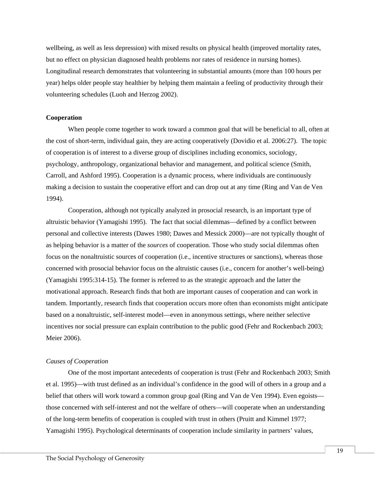wellbeing, as well as less depression) with mixed results on physical health (improved mortality rates, but no effect on physician diagnosed health problems nor rates of residence in nursing homes). Longitudinal research demonstrates that volunteering in substantial amounts (more than 100 hours per year) helps older people stay healthier by helping them maintain a feeling of productivity through their volunteering schedules (Luoh and Herzog 2002).

#### **Cooperation**

When people come together to work toward a common goal that will be beneficial to all, often at the cost of short-term, individual gain, they are acting cooperatively (Dovidio et al. 2006:27). The topic of cooperation is of interest to a diverse group of disciplines including economics, sociology, psychology, anthropology, organizational behavior and management, and political science (Smith, Carroll, and Ashford 1995). Cooperation is a dynamic process, where individuals are continuously making a decision to sustain the cooperative effort and can drop out at any time (Ring and Van de Ven 1994).

Cooperation, although not typically analyzed in prosocial research, is an important type of altruistic behavior (Yamagishi 1995). The fact that social dilemmas—defined by a conflict between personal and collective interests (Dawes 1980; Dawes and Messick 2000)—are not typically thought of as helping behavior is a matter of the *sources* of cooperation. Those who study social dilemmas often focus on the nonaltruistic sources of cooperation (i.e., incentive structures or sanctions), whereas those concerned with prosocial behavior focus on the altruistic causes (i.e., concern for another's well-being) (Yamagishi 1995:314-15). The former is referred to as the strategic approach and the latter the motivational approach. Research finds that both are important causes of cooperation and can work in tandem. Importantly, research finds that cooperation occurs more often than economists might anticipate based on a nonaltruistic, self-interest model—even in anonymous settings, where neither selective incentives nor social pressure can explain contribution to the public good (Fehr and Rockenbach 2003; Meier 2006).

#### *Causes of Cooperation*

One of the most important antecedents of cooperation is trust (Fehr and Rockenbach 2003; Smith et al. 1995)—with trust defined as an individual's confidence in the good will of others in a group and a belief that others will work toward a common group goal (Ring and Van de Ven 1994). Even egoists those concerned with self-interest and not the welfare of others—will cooperate when an understanding of the long-term benefits of cooperation is coupled with trust in others (Pruitt and Kimmel 1977; Yamagishi 1995). Psychological determinants of cooperation include similarity in partners' values,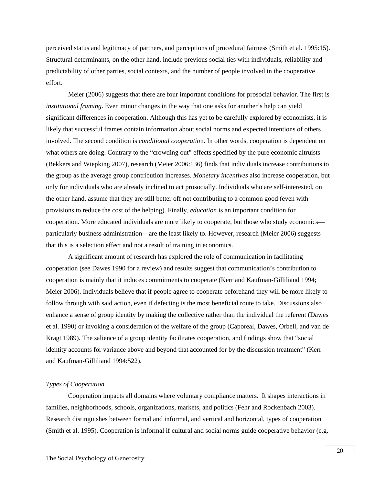perceived status and legitimacy of partners, and perceptions of procedural fairness (Smith et al. 1995:15). Structural determinants, on the other hand, include previous social ties with individuals, reliability and predictability of other parties, social contexts, and the number of people involved in the cooperative effort.

Meier (2006) suggests that there are four important conditions for prosocial behavior. The first is *institutional framing*. Even minor changes in the way that one asks for another's help can yield significant differences in cooperation. Although this has yet to be carefully explored by economists, it is likely that successful frames contain information about social norms and expected intentions of others involved. The second condition is *conditional cooperatio*n. In other words, cooperation is dependent on what others are doing. Contrary to the "crowding out" effects specified by the pure economic altruists (Bekkers and Wiepking 2007), research (Meier 2006:136) finds that individuals increase contributions to the group as the average group contribution increases. *Monetary incentives* also increase cooperation, but only for individuals who are already inclined to act prosocially. Individuals who are self-interested, on the other hand, assume that they are still better off not contributing to a common good (even with provisions to reduce the cost of the helping). Finally, *education* is an important condition for cooperation. More educated individuals are more likely to cooperate, but those who study economics particularly business administration—are the least likely to. However, research (Meier 2006) suggests that this is a selection effect and not a result of training in economics.

A significant amount of research has explored the role of communication in facilitating cooperation (see Dawes 1990 for a review) and results suggest that communication's contribution to cooperation is mainly that it induces commitments to cooperate (Kerr and Kaufman-Gilliliand 1994; Meier 2006). Individuals believe that if people agree to cooperate beforehand they will be more likely to follow through with said action, even if defecting is the most beneficial route to take. Discussions also enhance a sense of group identity by making the collective rather than the individual the referent (Dawes et al. 1990) or invoking a consideration of the welfare of the group (Caporeal, Dawes, Orbell, and van de Kragt 1989). The salience of a group identity facilitates cooperation, and findings show that "social identity accounts for variance above and beyond that accounted for by the discussion treatment" (Kerr and Kaufman-Gilliliand 1994:522).

#### *Types of Cooperation*

Cooperation impacts all domains where voluntary compliance matters. It shapes interactions in families, neighborhoods, schools, organizations, markets, and politics (Fehr and Rockenbach 2003). Research distinguishes between formal and informal, and vertical and horizontal, types of cooperation (Smith et al. 1995). Cooperation is informal if cultural and social norms guide cooperative behavior (e.g.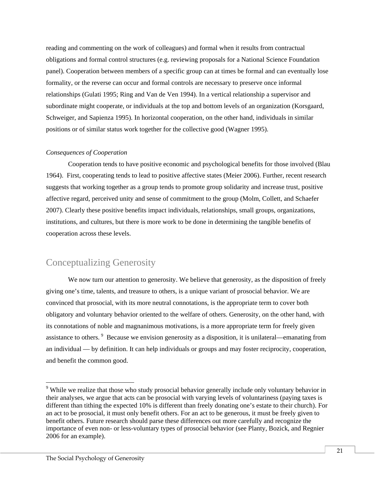reading and commenting on the work of colleagues) and formal when it results from contractual obligations and formal control structures (e.g. reviewing proposals for a National Science Foundation panel). Cooperation between members of a specific group can at times be formal and can eventually lose formality, or the reverse can occur and formal controls are necessary to preserve once informal relationships (Gulati 1995; Ring and Van de Ven 1994). In a vertical relationship a supervisor and subordinate might cooperate, or individuals at the top and bottom levels of an organization (Korsgaard, Schweiger, and Sapienza 1995). In horizontal cooperation, on the other hand, individuals in similar positions or of similar status work together for the collective good (Wagner 1995).

#### *Consequences of Cooperation*

Cooperation tends to have positive economic and psychological benefits for those involved (Blau 1964). First, cooperating tends to lead to positive affective states (Meier 2006). Further, recent research suggests that working together as a group tends to promote group solidarity and increase trust, positive affective regard, perceived unity and sense of commitment to the group (Molm, Collett, and Schaefer 2007). Clearly these positive benefits impact individuals, relationships, small groups, organizations, institutions, and cultures, but there is more work to be done in determining the tangible benefits of cooperation across these levels.

## Conceptualizing Generosity

We now turn our attention to generosity. We believe that generosity, as the disposition of freely giving one's time, talents, and treasure to others, is a unique variant of prosocial behavior. We are convinced that prosocial, with its more neutral connotations, is the appropriate term to cover both obligatory and voluntary behavior oriented to the welfare of others. Generosity, on the other hand, with its connotations of noble and magnanimous motivations, is a more appropriate term for freely given assistance to others. <sup>[9](#page-20-0)</sup> Because we envision generosity as a disposition, it is unilateral—emanating from an individual — by definition. It can help individuals or groups and may foster reciprocity, cooperation, and benefit the common good.

l

<span id="page-20-0"></span><sup>&</sup>lt;sup>9</sup> While we realize that those who study prosocial behavior generally include only voluntary behavior in their analyses, we argue that acts can be prosocial with varying levels of voluntariness (paying taxes is different than tithing the expected 10% is different than freely donating one's estate to their church). For an act to be prosocial, it must only benefit others. For an act to be generous, it must be freely given to benefit others. Future research should parse these differences out more carefully and recognize the importance of even non- or less-voluntary types of prosocial behavior (see Planty, Bozick, and Regnier 2006 for an example).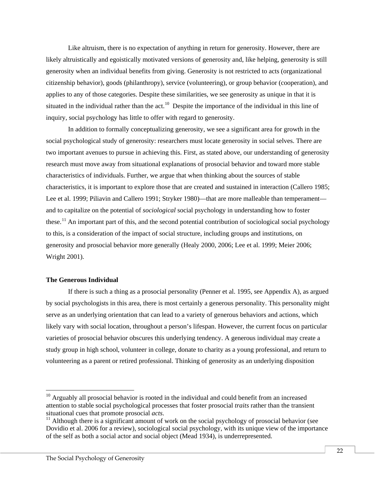Like altruism, there is no expectation of anything in return for generosity. However, there are likely altruistically and egoistically motivated versions of generosity and, like helping, generosity is still generosity when an individual benefits from giving. Generosity is not restricted to acts (organizational citizenship behavior), goods (philanthropy), service (volunteering), or group behavior (cooperation), and applies to any of those categories. Despite these similarities, we see generosity as unique in that it is situated in the individual rather than the act.<sup>[10](#page-21-0)</sup> Despite the importance of the individual in this line of inquiry, social psychology has little to offer with regard to generosity.

In addition to formally conceptualizing generosity, we see a significant area for growth in the social psychological study of generosity: researchers must locate generosity in social selves. There are two important avenues to pursue in achieving this. First, as stated above, our understanding of generosity research must move away from situational explanations of prosocial behavior and toward more stable characteristics of individuals. Further, we argue that when thinking about the sources of stable characteristics, it is important to explore those that are created and sustained in interaction (Callero 1985; Lee et al. 1999; Piliavin and Callero 1991; Stryker 1980)—that are more malleable than temperament and to capitalize on the potential of *sociological* social psychology in understanding how to foster these.<sup>[11](#page-21-1)</sup> An important part of this, and the second potential contribution of sociological social psychology to this, is a consideration of the impact of social structure, including groups and institutions, on generosity and prosocial behavior more generally (Healy 2000, 2006; Lee et al. 1999; Meier 2006; Wright 2001).

#### **The Generous Individual**

 $\overline{a}$ 

If there is such a thing as a prosocial personality (Penner et al. 1995, see Appendix A), as argued by social psychologists in this area, there is most certainly a generous personality. This personality might serve as an underlying orientation that can lead to a variety of generous behaviors and actions, which likely vary with social location, throughout a person's lifespan. However, the current focus on particular varieties of prosocial behavior obscures this underlying tendency. A generous individual may create a study group in high school, volunteer in college, donate to charity as a young professional, and return to volunteering as a parent or retired professional. Thinking of generosity as an underlying disposition

<span id="page-21-0"></span> $10$  Arguably all prosocial behavior is rooted in the individual and could benefit from an increased attention to stable social psychological processes that foster prosocial *traits* rather than the transient situational cues that promote prosocial *acts*.<br><sup>11</sup> Although there is a significant amount of work on the social psychology of prosocial behavior (see

<span id="page-21-1"></span>Dovidio et al. 2006 for a review), sociological social psychology, with its unique view of the importance of the self as both a social actor and social object (Mead 1934), is underrepresented.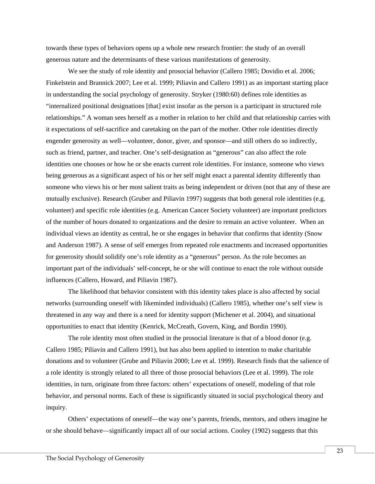towards these types of behaviors opens up a whole new research frontier: the study of an overall generous nature and the determinants of these various manifestations of generosity.

We see the study of role identity and prosocial behavior (Callero 1985; Dovidio et al. 2006; Finkelstein and Brannick 2007; Lee et al. 1999; Piliavin and Callero 1991) as an important starting place in understanding the social psychology of generosity. Stryker (1980:60) defines role identities as "internalized positional designations [that] exist insofar as the person is a participant in structured role relationships." A woman sees herself as a mother in relation to her child and that relationship carries with it expectations of self-sacrifice and caretaking on the part of the mother. Other role identities directly engender generosity as well—volunteer, donor, giver, and sponsor—and still others do so indirectly, such as friend, partner, and teacher. One's self-designation as "generous" can also affect the role identities one chooses or how he or she enacts current role identities. For instance, someone who views being generous as a significant aspect of his or her self might enact a parental identity differently than someone who views his or her most salient traits as being independent or driven (not that any of these are mutually exclusive). Research (Gruber and Piliavin 1997) suggests that both general role identities (e.g. volunteer) and specific role identities (e.g. American Cancer Society volunteer) are important predictors of the number of hours donated to organizations and the desire to remain an active volunteer. When an individual views an identity as central, he or she engages in behavior that confirms that identity (Snow and Anderson 1987). A sense of self emerges from repeated role enactments and increased opportunities for generosity should solidify one's role identity as a "generous" person. As the role becomes an important part of the individuals' self-concept, he or she will continue to enact the role without outside influences (Callero, Howard, and Piliavin 1987).

The likelihood that behavior consistent with this identity takes place is also affected by social networks (surrounding oneself with likeminded individuals) (Callero 1985), whether one's self view is threatened in any way and there is a need for identity support (Michener et al. 2004), and situational opportunities to enact that identity (Kenrick, McCreath, Govern, King, and Bordin 1990).

The role identity most often studied in the prosocial literature is that of a blood donor (e.g. Callero 1985; Piliavin and Callero 1991), but has also been applied to intention to make charitable donations and to volunteer (Grube and Piliavin 2000; Lee et al. 1999). Research finds that the salience of a role identity is strongly related to all three of those prosocial behaviors (Lee et al. 1999). The role identities, in turn, originate from three factors: others' expectations of oneself, modeling of that role behavior, and personal norms. Each of these is significantly situated in social psychological theory and inquiry.

Others' expectations of oneself—the way one's parents, friends, mentors, and others imagine he or she should behave—significantly impact all of our social actions. Cooley (1902) suggests that this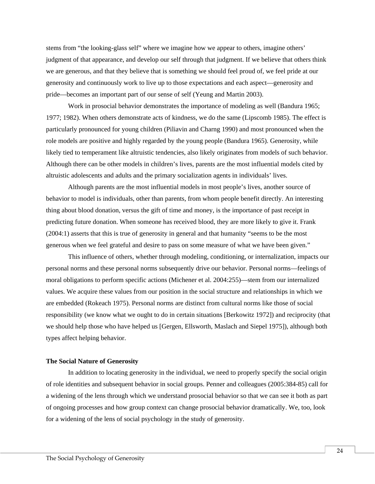stems from "the looking-glass self" where we imagine how we appear to others, imagine others' judgment of that appearance, and develop our self through that judgment. If we believe that others think we are generous, and that they believe that is something we should feel proud of, we feel pride at our generosity and continuously work to live up to those expectations and each aspect—generosity and pride—becomes an important part of our sense of self (Yeung and Martin 2003).

Work in prosocial behavior demonstrates the importance of modeling as well (Bandura 1965; 1977; 1982). When others demonstrate acts of kindness, we do the same (Lipscomb 1985). The effect is particularly pronounced for young children (Piliavin and Charng 1990) and most pronounced when the role models are positive and highly regarded by the young people (Bandura 1965). Generosity, while likely tied to temperament like altruistic tendencies, also likely originates from models of such behavior. Although there can be other models in children's lives, parents are the most influential models cited by altruistic adolescents and adults and the primary socialization agents in individuals' lives.

Although parents are the most influential models in most people's lives, another source of behavior to model is individuals, other than parents, from whom people benefit directly. An interesting thing about blood donation, versus the gift of time and money, is the importance of past receipt in predicting future donation. When someone has received blood, they are more likely to give it. Frank (2004:1) asserts that this is true of generosity in general and that humanity "seems to be the most generous when we feel grateful and desire to pass on some measure of what we have been given."

This influence of others, whether through modeling, conditioning, or internalization, impacts our personal norms and these personal norms subsequently drive our behavior. Personal norms—feelings of moral obligations to perform specific actions (Michener et al. 2004:255)—stem from our internalized values. We acquire these values from our position in the social structure and relationships in which we are embedded (Rokeach 1975). Personal norms are distinct from cultural norms like those of social responsibility (we know what we ought to do in certain situations [Berkowitz 1972]) and reciprocity (that we should help those who have helped us [Gergen, Ellsworth, Maslach and Siepel 1975]), although both types affect helping behavior.

#### **The Social Nature of Generosity**

In addition to locating generosity in the individual, we need to properly specify the social origin of role identities and subsequent behavior in social groups. Penner and colleagues (2005:384-85) call for a widening of the lens through which we understand prosocial behavior so that we can see it both as part of ongoing processes and how group context can change prosocial behavior dramatically. We, too, look for a widening of the lens of social psychology in the study of generosity.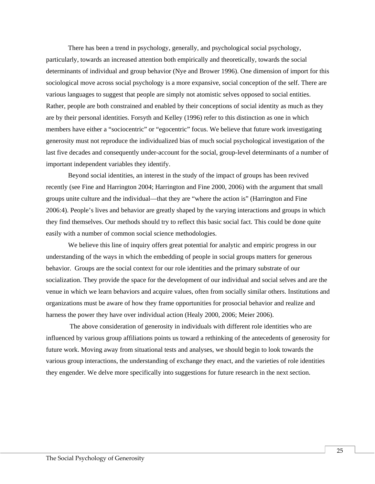There has been a trend in psychology, generally, and psychological social psychology, particularly, towards an increased attention both empirically and theoretically, towards the social determinants of individual and group behavior (Nye and Brower 1996). One dimension of import for this sociological move across social psychology is a more expansive, social conception of the self. There are various languages to suggest that people are simply not atomistic selves opposed to social entities. Rather, people are both constrained and enabled by their conceptions of social identity as much as they are by their personal identities. Forsyth and Kelley (1996) refer to this distinction as one in which members have either a "sociocentric" or "egocentric" focus. We believe that future work investigating generosity must not reproduce the individualized bias of much social psychological investigation of the last five decades and consequently under-account for the social, group-level determinants of a number of important independent variables they identify.

Beyond social identities, an interest in the study of the impact of groups has been revived recently (see Fine and Harrington 2004; Harrington and Fine 2000, 2006) with the argument that small groups unite culture and the individual—that they are "where the action is" (Harrington and Fine 2006:4). People's lives and behavior are greatly shaped by the varying interactions and groups in which they find themselves. Our methods should try to reflect this basic social fact. This could be done quite easily with a number of common social science methodologies.

We believe this line of inquiry offers great potential for analytic and empiric progress in our understanding of the ways in which the embedding of people in social groups matters for generous behavior. Groups are the social context for our role identities and the primary substrate of our socialization. They provide the space for the development of our individual and social selves and are the venue in which we learn behaviors and acquire values, often from socially similar others. Institutions and organizations must be aware of how they frame opportunities for prosocial behavior and realize and harness the power they have over individual action (Healy 2000, 2006; Meier 2006).

The above consideration of generosity in individuals with different role identities who are influenced by various group affiliations points us toward a rethinking of the antecedents of generosity for future work. Moving away from situational tests and analyses, we should begin to look towards the various group interactions, the understanding of exchange they enact, and the varieties of role identities they engender. We delve more specifically into suggestions for future research in the next section.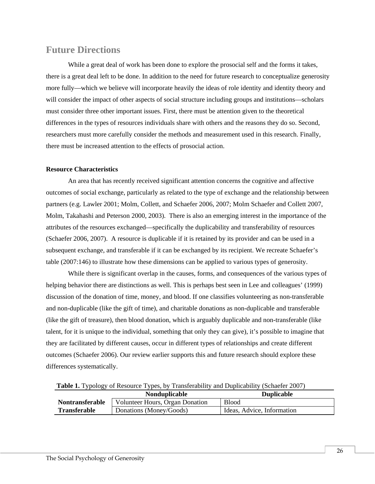## **Future Directions**

While a great deal of work has been done to explore the prosocial self and the forms it takes, there is a great deal left to be done. In addition to the need for future research to conceptualize generosity more fully—which we believe will incorporate heavily the ideas of role identity and identity theory and will consider the impact of other aspects of social structure including groups and institutions—scholars must consider three other important issues. First, there must be attention given to the theoretical differences in the types of resources individuals share with others and the reasons they do so. Second, researchers must more carefully consider the methods and measurement used in this research. Finally, there must be increased attention to the effects of prosocial action.

### **Resource Characteristics**

An area that has recently received significant attention concerns the cognitive and affective outcomes of social exchange, particularly as related to the type of exchange and the relationship between partners (e.g. Lawler 2001; Molm, Collett, and Schaefer 2006, 2007; Molm Schaefer and Collett 2007, Molm, Takahashi and Peterson 2000, 2003). There is also an emerging interest in the importance of the attributes of the resources exchanged—specifically the duplicability and transferability of resources (Schaefer 2006, 2007). A resource is duplicable if it is retained by its provider and can be used in a subsequent exchange, and transferable if it can be exchanged by its recipient. We recreate Schaefer's table (2007:146) to illustrate how these dimensions can be applied to various types of generosity.

While there is significant overlap in the causes, forms, and consequences of the various types of helping behavior there are distinctions as well. This is perhaps best seen in Lee and colleagues' (1999) discussion of the donation of time, money, and blood. If one classifies volunteering as non-transferable and non-duplicable (like the gift of time), and charitable donations as non-duplicable and transferable (like the gift of treasure), then blood donation, which is arguably duplicable and non-transferable (like talent, for it is unique to the individual, something that only they can give), it's possible to imagine that they are facilitated by different causes, occur in different types of relationships and create different outcomes (Schaefer 2006). Our review earlier supports this and future research should explore these differences systematically.

|  |  |  | Table 1. Typology of Resource Types, by Transferability and Duplicability (Schaefer 2007) |
|--|--|--|-------------------------------------------------------------------------------------------|
|  |  |  |                                                                                           |

|                        | <b>Nonduplicable</b>            | <b>Duplicable</b>          |  |  |
|------------------------|---------------------------------|----------------------------|--|--|
| <b>Nontransferable</b> | Volunteer Hours, Organ Donation | <b>Blood</b>               |  |  |
| <b>Transferable</b>    | Donations (Money/Goods)         | Ideas, Advice, Information |  |  |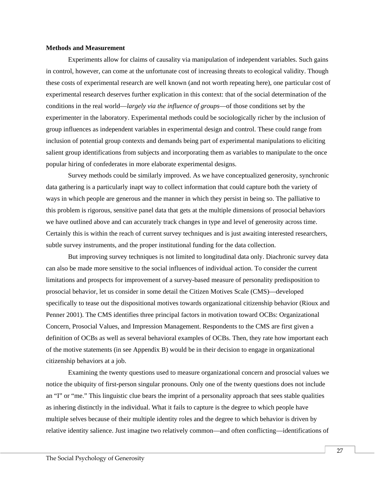#### **Methods and Measurement**

Experiments allow for claims of causality via manipulation of independent variables. Such gains in control, however, can come at the unfortunate cost of increasing threats to ecological validity. Though these costs of experimental research are well known (and not worth repeating here), one particular cost of experimental research deserves further explication in this context: that of the social determination of the conditions in the real world—*largely via the influence of groups*—of those conditions set by the experimenter in the laboratory. Experimental methods could be sociologically richer by the inclusion of group influences as independent variables in experimental design and control. These could range from inclusion of potential group contexts and demands being part of experimental manipulations to eliciting salient group identifications from subjects and incorporating them as variables to manipulate to the once popular hiring of confederates in more elaborate experimental designs.

Survey methods could be similarly improved. As we have conceptualized generosity, synchronic data gathering is a particularly inapt way to collect information that could capture both the variety of ways in which people are generous and the manner in which they persist in being so. The palliative to this problem is rigorous, sensitive panel data that gets at the multiple dimensions of prosocial behaviors we have outlined above and can accurately track changes in type and level of generosity across time. Certainly this is within the reach of current survey techniques and is just awaiting interested researchers, subtle survey instruments, and the proper institutional funding for the data collection.

But improving survey techniques is not limited to longitudinal data only. Diachronic survey data can also be made more sensitive to the social influences of individual action. To consider the current limitations and prospects for improvement of a survey-based measure of personality predisposition to prosocial behavior, let us consider in some detail the Citizen Motives Scale (CMS)—developed specifically to tease out the dispositional motives towards organizational citizenship behavior (Rioux and Penner 2001). The CMS identifies three principal factors in motivation toward OCBs: Organizational Concern, Prosocial Values, and Impression Management. Respondents to the CMS are first given a definition of OCBs as well as several behavioral examples of OCBs. Then, they rate how important each of the motive statements (in see Appendix B) would be in their decision to engage in organizational citizenship behaviors at a job.

Examining the twenty questions used to measure organizational concern and prosocial values we notice the ubiquity of first-person singular pronouns. Only one of the twenty questions does not include an "I" or "me." This linguistic clue bears the imprint of a personality approach that sees stable qualities as inhering distinctly in the individual. What it fails to capture is the degree to which people have multiple selves because of their multiple identity roles and the degree to which behavior is driven by relative identity salience. Just imagine two relatively common—and often conflicting—identifications of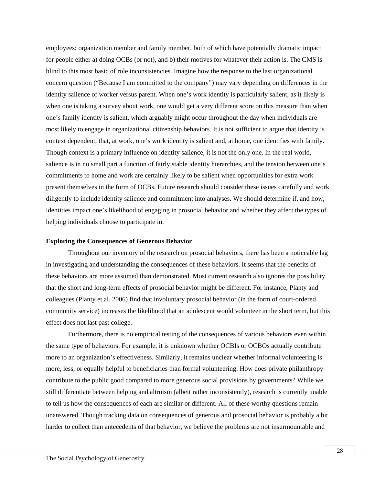employees: organization member and family member, both of which have potentially dramatic impact for people either a) doing OCBs (or not), and b) their motives for whatever their action is. The CMS is blind to this most basic of role inconsistencies. Imagine how the response to the last organizational concern question ("Because I am committed to the company") may vary depending on differences in the identity salience of worker versus parent. When one's work identity is particularly salient, as it likely is when one is taking a survey about work, one would get a very different score on this measure than when one's family identity is salient, which arguably might occur throughout the day when individuals are most likely to engage in organizational citizenship behaviors. It is not sufficient to argue that identity is context dependent, that, at work, one's work identity is salient and, at home, one identifies with family. Though context is a primary influence on identity salience, it is not the only one. In the real world, salience is in no small part a function of fairly stable identity hierarchies, and the tension between one's commitments to home and work are certainly likely to be salient when opportunities for extra work present themselves in the form of OCBs. Future research should consider these issues carefully and work diligently to include identity salience and commitment into analyses. We should determine if, and how, identities impact one's likelihood of engaging in prosocial behavior and whether they affect the types of helping individuals choose to participate in.

#### **Exploring the Consequences of Generous Behavior**

Throughout our inventory of the research on prosocial behaviors, there has been a noticeable lag in investigating and understanding the consequences of these behaviors. It seems that the benefits of these behaviors are more assumed than demonstrated. Most current research also ignores the possibility that the short and long-term effects of prosocial behavior might be different. For instance, Planty and colleagues (Planty et al. 2006) find that involuntary prosocial behavior (in the form of court-ordered community service) increases the likelihood that an adolescent would volunteer in the short term, but this effect does not last past college.

Furthermore, there is no empirical testing of the consequences of various behaviors even within the same type of behaviors. For example, it is unknown whether OCBIs or OCBOs actually contribute more to an organization's effectiveness. Similarly, it remains unclear whether informal volunteering is more, less, or equally helpful to beneficiaries than formal volunteering. How does private philanthropy contribute to the public good compared to more generous social provisions by governments? While we still differentiate between helping and altruism (albeit rather inconsistently), research is currently unable to tell us how the consequences of each are similar or different. All of these worthy questions remain unanswered. Though tracking data on consequences of generous and prosocial behavior is probably a bit harder to collect than antecedents of that behavior, we believe the problems are not insurmountable and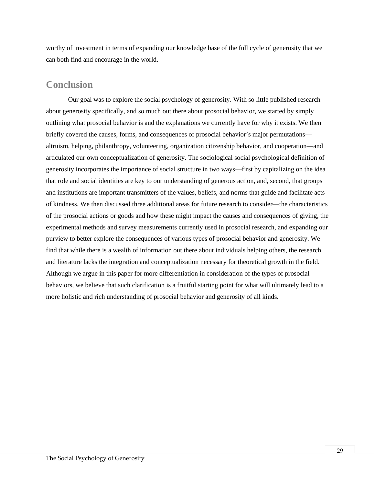worthy of investment in terms of expanding our knowledge base of the full cycle of generosity that we can both find and encourage in the world.

## **Conclusion**

Our goal was to explore the social psychology of generosity. With so little published research about generosity specifically, and so much out there about prosocial behavior, we started by simply outlining what prosocial behavior is and the explanations we currently have for why it exists. We then briefly covered the causes, forms, and consequences of prosocial behavior's major permutations altruism, helping, philanthropy, volunteering, organization citizenship behavior, and cooperation—and articulated our own conceptualization of generosity. The sociological social psychological definition of generosity incorporates the importance of social structure in two ways—first by capitalizing on the idea that role and social identities are key to our understanding of generous action, and, second, that groups and institutions are important transmitters of the values, beliefs, and norms that guide and facilitate acts of kindness. We then discussed three additional areas for future research to consider—the characteristics of the prosocial actions or goods and how these might impact the causes and consequences of giving, the experimental methods and survey measurements currently used in prosocial research, and expanding our purview to better explore the consequences of various types of prosocial behavior and generosity. We find that while there is a wealth of information out there about individuals helping others, the research and literature lacks the integration and conceptualization necessary for theoretical growth in the field. Although we argue in this paper for more differentiation in consideration of the types of prosocial behaviors, we believe that such clarification is a fruitful starting point for what will ultimately lead to a more holistic and rich understanding of prosocial behavior and generosity of all kinds.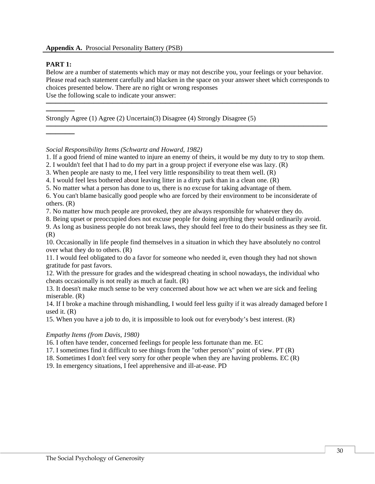### **PART 1:**

──────

──────

Below are a number of statements which may or may not describe you, your feelings or your behavior. Please read each statement carefully and blacken in the space on your answer sheet which corresponds to choices presented below. There are no right or wrong responses Use the following scale to indicate your answer:

───────────────────────────────────────────────────────────

───────────────────────────────────────────────────────────

Strongly Agree (1) Agree (2) Uncertain(3) Disagree (4) Strongly Disagree (5)

*Social Responsibility Items (Schwartz and Howard, 1982)* 

7. No matter how much people are provoked, they are always responsible for whatever they do.

8. Being upset or preoccupied does not excuse people for doing anything they would ordinarily avoid.

10. Occasionally in life people find themselves in a situation in which they have absolutely no control over what they do to others. (R)

11. I would feel obligated to do a favor for someone who needed it, even though they had not shown gratitude for past favors.

12. With the pressure for grades and the widespread cheating in school nowadays, the individual who cheats occasionally is not really as much at fault. (R)

13. It doesn't make much sense to be very concerned about how we act when we are sick and feeling miserable. (R)

14. If I broke a machine through mishandling, I would feel less guilty if it was already damaged before I used it. (R)

15. When you have a job to do, it is impossible to look out for everybody's best interest. (R)

### *Empathy Items (from Davis, 1980)*

16. I often have tender, concerned feelings for people less fortunate than me. EC

17. I sometimes find it difficult to see things from the "other person's" point of view. PT (R)

18. Sometimes I don't feel very sorry for other people when they are having problems. EC (R)

19. In emergency situations, I feel apprehensive and ill-at-ease. PD

<sup>1.</sup> If a good friend of mine wanted to injure an enemy of theirs, it would be my duty to try to stop them.

<sup>2.</sup> I wouldn't feel that I had to do my part in a group project if everyone else was lazy. (R)

<sup>3.</sup> When people are nasty to me, I feel very little responsibility to treat them well. (R)

<sup>4.</sup> I would feel less bothered about leaving litter in a dirty park than in a clean one. (R)

<sup>5.</sup> No matter what a person has done to us, there is no excuse for taking advantage of them.

<sup>6.</sup> You can't blame basically good people who are forced by their environment to be inconsiderate of others. (R)

<sup>9.</sup> As long as business people do not break laws, they should feel free to do their business as they see fit. (R)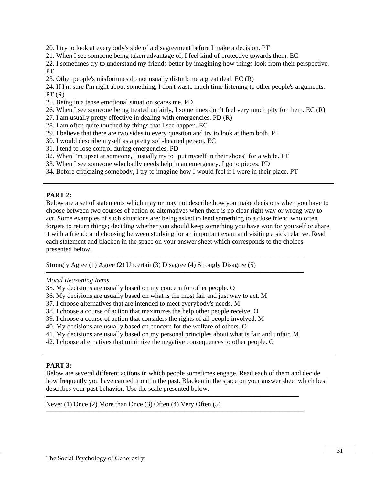- 20. I try to look at everybody's side of a disagreement before I make a decision. PT
- 21. When I see someone being taken advantage of, I feel kind of protective towards them. EC
- 22. I sometimes try to understand my friends better by imagining how things look from their perspective. PT
- 23. Other people's misfortunes do not usually disturb me a great deal. EC (R)
- 24. If I'm sure I'm right about something, I don't waste much time listening to other people's arguments.  $PT(R)$
- 25. Being in a tense emotional situation scares me. PD
- 26. When I see someone being treated unfairly, I sometimes don't feel very much pity for them. EC (R)
- 27. I am usually pretty effective in dealing with emergencies. PD (R)
- 28. I am often quite touched by things that I see happen. EC
- 29. I believe that there are two sides to every question and try to look at them both. PT
- 30. I would describe myself as a pretty soft-hearted person. EC
- 31. I tend to lose control during emergencies. PD
- 32. When I'm upset at someone, I usually try to "put myself in their shoes" for a while. PT
- 33. When I see someone who badly needs help in an emergency, I go to pieces. PD
- 34. Before criticizing somebody, I try to imagine how I would feel if I were in their place. PT

### **PART 2:**

Below are a set of statements which may or may not describe how you make decisions when you have to choose between two courses of action or alternatives when there is no clear right way or wrong way to act. Some examples of such situations are: being asked to lend something to a close friend who often forgets to return things; deciding whether you should keep something you have won for yourself or share it with a friend; and choosing between studying for an important exam and visiting a sick relative. Read each statement and blacken in the space on your answer sheet which corresponds to the choices presented below.

──────────────────────────────────────────────────────

──────────────────────────────────────────────────────

Strongly Agree (1) Agree (2) Uncertain(3) Disagree (4) Strongly Disagree (5)

#### *Moral Reasoning Items*

- 35. My decisions are usually based on my concern for other people. O
- 36. My decisions are usually based on what is the most fair and just way to act. M
- 37. I choose alternatives that are intended to meet everybody's needs. M
- 38. I choose a course of action that maximizes the help other people receive. O
- 39. I choose a course of action that considers the rights of all people involved. M
- 40. My decisions are usually based on concern for the welfare of others. O
- 41. My decisions are usually based on my personal principles about what is fair and unfair. M

─────────────────────────────────────────────────────

──────────────────────────────────────────────────────

42. I choose alternatives that minimize the negative consequences to other people. O

#### **PART 3:**

Below are several different actions in which people sometimes engage. Read each of them and decide how frequently you have carried it out in the past. Blacken in the space on your answer sheet which best describes your past behavior. Use the scale presented below.

Never (1) Once (2) More than Once (3) Often (4) Very Often (5)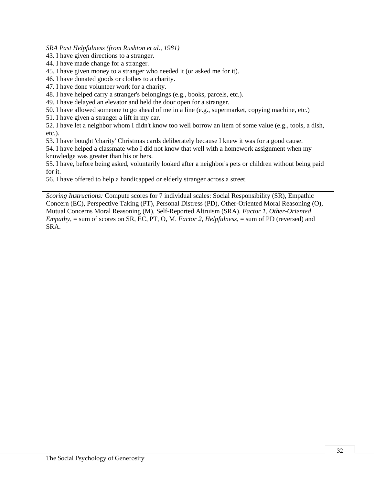*SRA Past Helpfulness (from Rushton et al., 1981)* 

43. I have given directions to a stranger.

44. I have made change for a stranger.

45. I have given money to a stranger who needed it (or asked me for it).

46. I have donated goods or clothes to a charity.

47. I have done volunteer work for a charity.

48. I have helped carry a stranger's belongings (e.g., books, parcels, etc.).

49. I have delayed an elevator and held the door open for a stranger.

50. I have allowed someone to go ahead of me in a line (e.g., supermarket, copying machine, etc.)

51. I have given a stranger a lift in my car.

52. I have let a neighbor whom I didn't know too well borrow an item of some value (e.g., tools, a dish, etc.).

53. I have bought 'charity' Christmas cards deliberately because I knew it was for a good cause.

54. I have helped a classmate who I did not know that well with a homework assignment when my knowledge was greater than his or hers.

55. I have, before being asked, voluntarily looked after a neighbor's pets or children without being paid for it.

56. I have offered to help a handicapped or elderly stranger across a street.

*Scoring Instructions:* Compute scores for 7 individual scales: Social Responsibility (SR), Empathic Concern (EC), Perspective Taking (PT), Personal Distress (PD), Other-Oriented Moral Reasoning (O), Mutual Concerns Moral Reasoning (M), Self-Reported Altruism (SRA). *Factor 1*, *Other-Oriented Empathy*, = sum of scores on SR, EC, PT, O, M. *Factor 2*, *Helpfulness*, = sum of PD (reversed) and SRA.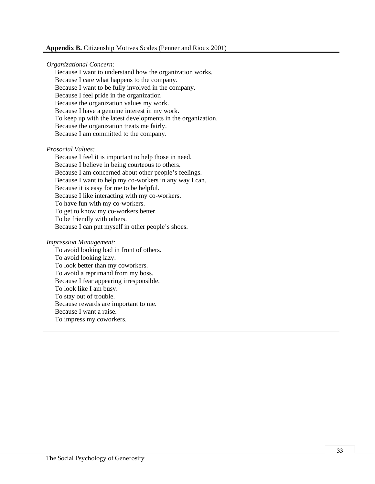#### **Appendix B.** Citizenship Motives Scales (Penner and Rioux 2001)

#### *Organizational Concern:*

 Because I want to understand how the organization works. Because I care what happens to the company. Because I want to be fully involved in the company. Because I feel pride in the organization Because the organization values my work. Because I have a genuine interest in my work. To keep up with the latest developments in the organization. Because the organization treats me fairly. Because I am committed to the company.

#### *Prosocial Values:*

 Because I feel it is important to help those in need. Because I believe in being courteous to others. Because I am concerned about other people's feelings. Because I want to help my co-workers in any way I can. Because it is easy for me to be helpful. Because I like interacting with my co-workers. To have fun with my co-workers. To get to know my co-workers better. To be friendly with others. Because I can put myself in other people's shoes.

#### *Impression Management:*

To avoid looking bad in front of others. To avoid looking lazy. To look better than my coworkers. To avoid a reprimand from my boss. Because I fear appearing irresponsible. To look like I am busy. To stay out of trouble. Because rewards are important to me. Because I want a raise. To impress my coworkers.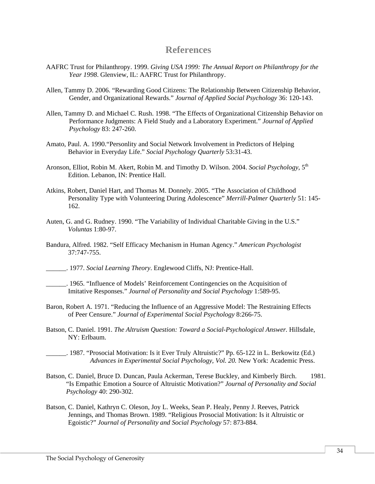### **References**

- AAFRC Trust for Philanthropy. 1999. *Giving USA 1999: The Annual Report on Philanthropy for the Year 1998*. Glenview, IL: AAFRC Trust for Philanthropy.
- Allen, Tammy D. 2006. "Rewarding Good Citizens: The Relationship Between Citizenship Behavior, Gender, and Organizational Rewards." *Journal of Applied Social Psychology* 36: 120-143.
- Allen, Tammy D. and Michael C. Rush. 1998. "The Effects of Organizational Citizenship Behavior on Performance Judgments: A Field Study and a Laboratory Experiment." *Journal of Applied Psychology* 83: 247-260.
- Amato, Paul. A. 1990."Personlity and Social Network Involvement in Predictors of Helping Behavior in Everyday Life." *Social Psychology Quarterly* 53:31-43.
- Aronson, Elliot, Robin M. Akert, Robin M. and Timothy D. Wilson. 2004. *Social Psychology*, 5th Edition. Lebanon, IN: Prentice Hall.
- Atkins, Robert, Daniel Hart, and Thomas M. Donnely. 2005. "The Association of Childhood Personality Type with Volunteering During Adolescence" *Merrill-Palmer Quarterly* 51: 145- 162.
- Auten, G. and G. Rudney. 1990. "The Variability of Individual Charitable Giving in the U.S." *Voluntas* 1:80-97.
- Bandura, Alfred. 1982. "Self Efficacy Mechanism in Human Agency." *American Psychologist*  37:747-755.
- \_\_\_\_\_\_. 1977. *Social Learning Theory*. Englewood Cliffs, NJ: Prentice-Hall.
- \_\_\_\_\_\_. 1965. "Influence of Models' Reinforcement Contingencies on the Acquisition of Imitative Responses." *Journal of Personality and Social Psychology* 1:589-95.
- Baron, Robert A. 1971. "Reducing the Influence of an Aggressive Model: The Restraining Effects of Peer Censure." *Journal of Experimental Social Psychology* 8:266-75.
- Batson, C. Daniel. 1991. *The Altruism Question: Toward a Social-Psychological Answer.* Hillsdale, NY: Erlbaum.
- \_\_\_\_\_\_. 1987. "Prosocial Motivation: Is it Ever Truly Altruistic?" Pp. 65-122 in L. Berkowitz (Ed.) *Advances in Experimental Social Psychology, Vol. 20.* New York: Academic Press.
- Batson, C. Daniel, Bruce D. Duncan, Paula Ackerman, Terese Buckley, and Kimberly Birch. 1981. "Is Empathic Emotion a Source of Altruistic Motivation?" *Journal of Personality and Social Psychology* 40: 290-302.
- Batson, C. Daniel, Kathryn C. Oleson, Joy L. Weeks, Sean P. Healy, Penny J. Reeves, Patrick Jennings, and Thomas Brown. 1989. "Religious Prosocial Motivation: Is it Altruistic or Egoistic?" *Journal of Personality and Social Psychology* 57: 873-884.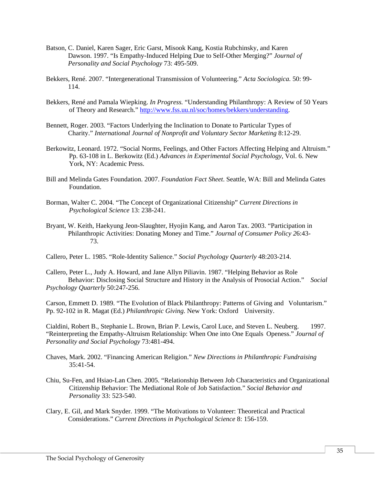- Batson, C. Daniel, Karen Sager, Eric Garst, Misook Kang, Kostia Rubchinsky, and Karen Dawson. 1997. "Is Empathy-Induced Helping Due to Self-Other Merging?" *Journal of Personality and Social Psychology* 73: 495-509.
- Bekkers, René. 2007. "Intergenerational Transmission of Volunteering." *Acta Sociologica.* 50: 99- 114.
- Bekkers, René and Pamala Wiepking. *In Progress.* "Understanding Philanthropy: A Review of 50 Years of Theory and Research." [http://www.fss.uu.nl/soc/homes/bekkers/understanding.](http://www.fss.uu.nl/soc/homes/bekkers/understanding)
- Bennett, Roger. 2003. "Factors Underlying the Inclination to Donate to Particular Types of Charity." *International Journal of Nonprofit and Voluntary Sector Marketing* 8:12-29.
- Berkowitz, Leonard. 1972. "Social Norms, Feelings, and Other Factors Affecting Helping and Altruism." Pp. 63-108 in L. Berkowitz (Ed.) *Advances in Experimental Social Psychology*, Vol. 6. New York, NY: Academic Press.
- Bill and Melinda Gates Foundation. 2007. *Foundation Fact Sheet*. Seattle, WA: Bill and Melinda Gates Foundation.
- Borman, Walter C. 2004. "The Concept of Organizational Citizenship" *Current Directions in Psychological Science* 13: 238-241.
- Bryant, W. Keith, Haekyung Jeon-Slaughter, Hyojin Kang, and Aaron Tax. 2003. "Participation in Philanthropic Activities: Donating Money and Time." *Journal of Consumer Policy 2*6:43- 73.

Callero, Peter L. 1985. "Role-Identity Salience." *Social Psychology Quarterly* 48:203-214.

Callero, Peter L., Judy A. Howard, and Jane Allyn Piliavin. 1987. "Helping Behavior as Role Behavior: Disclosing Social Structure and History in the Analysis of Prosocial Action." *Social Psychology Quarterly* 50:247-256.

Carson, Emmett D. 1989. "The Evolution of Black Philanthropy: Patterns of Giving and Voluntarism." Pp. 92-102 in R. Magat (Ed.) *Philanthropic Giving.* New York: Oxford University.

Cialdini, Robert B., Stephanie L. Brown, Brian P. Lewis, Carol Luce, and Steven L. Neuberg. 1997. "Reinterpreting the Empathy-Altruism Relationship: When One into One Equals Openess." *Journal of Personality and Social Psychology* 73:481-494.

- Chaves, Mark. 2002. "Financing American Religion." *New Directions in Philanthropic Fundraising*  $35:41-54$ .
- Chiu, Su-Fen, and Hsiao-Lan Chen. 2005. "Relationship Between Job Characteristics and Organizational Citizenship Behavior: The Mediational Role of Job Satisfaction." *Social Behavior and Personality* 33: 523-540.
- Clary, E. Gil, and Mark Snyder. 1999. "The Motivations to Volunteer: Theoretical and Practical Considerations." *Current Directions in Psychological Science* 8: 156-159.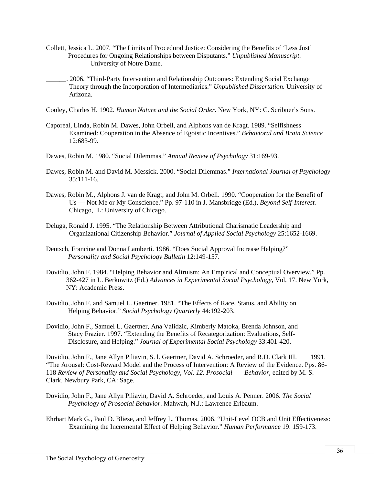- Collett, Jessica L. 2007. "The Limits of Procedural Justice: Considering the Benefits of 'Less Just' Procedures for Ongoing Relationships between Disputants." *Unpublished Manuscript*. University of Notre Dame.
- \_\_\_\_\_\_. 2006. "Third-Party Intervention and Relationship Outcomes: Extending Social Exchange Theory through the Incorporation of Intermediaries." *Unpublished Dissertation.* University of Arizona.
- Cooley, Charles H. 1902. *Human Nature and the Social Order*. New York, NY: C. Scribner's Sons.
- Caporeal, Linda, Robin M. Dawes, John Orbell, and Alphons van de Kragt. 1989. "Selfishness Examined: Cooperation in the Absence of Egoistic Incentives." *Behavioral and Brain Science* 12:683-99.
- Dawes, Robin M. 1980. "Social Dilemmas." *Annual Review of Psychology* 31:169-93.
- Dawes, Robin M. and David M. Messick. 2000. "Social Dilemmas." *International Journal of Psychology* 35:111-16.
- Dawes, Robin M., Alphons J. van de Kragt, and John M. Orbell. 1990. "Cooperation for the Benefit of Us — Not Me or My Conscience." Pp. 97-110 in J. Mansbridge (Ed.), *Beyond Self-Interest.* Chicago, IL: University of Chicago.
- Deluga, Ronald J. 1995. "The Relationship Between Attributional Charismatic Leadership and Organizational Citizenship Behavior." *Journal of Applied Social Psychology* 25:1652-1669.
- Deutsch, Francine and Donna Lamberti. 1986. "Does Social Approval Increase Helping?" *Personality and Social Psychology Bulletin* 12:149-157.
- Dovidio, John F. 1984. "Helping Behavior and Altruism: An Empirical and Conceptual Overview." Pp. 362-427 in L. Berkowitz (Ed.) *Advances in Experimental Social Psychology*, Vol, 17. New York, NY: Academic Press.
- Dovidio, John F. and Samuel L. Gaertner. 1981. "The Effects of Race, Status, and Ability on Helping Behavior." *Social Psychology Quarterly* 44:192-203.
- Dovidio, John F., Samuel L. Gaertner, Ana Validzic, Kimberly Matoka, Brenda Johnson, and Stacy Frazier. 1997. "Extending the Benefits of Recategorization: Evaluations, Self-Disclosure, and Helping." *Journal of Experimental Social Psychology* 33:401-420.

Dovidio, John F., Jane Allyn Piliavin, S. l. Gaertner, David A. Schroeder, and R.D. Clark III. 1991. "The Arousal: Cost-Reward Model and the Process of Intervention: A Review of the Evidence. Pps. 86- 118 *Review of Personality and Social Psychology, Vol. 12. Prosocial Behavior*, edited by M. S. Clark. Newbury Park, CA: Sage.

- Dovidio, John F., Jane Allyn Piliavin, David A. Schroeder, and Louis A. Penner. 2006. *The Social Psychology of Prosocial Behavior*. Mahwah, N.J.: Lawrence Erlbaum.
- Ehrhart Mark G., Paul D. Bliese, and Jeffrey L. Thomas. 2006. "Unit-Level OCB and Unit Effectiveness: Examining the Incremental Effect of Helping Behavior." *Human Performance* 19: 159-173.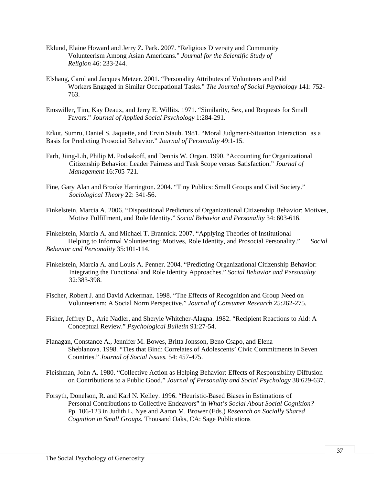- Eklund, Elaine Howard and Jerry Z. Park. 2007. "Religious Diversity and Community Volunteerism Among Asian Americans." *Journal for the Scientific Study of Religion* 46: 233-244.
- Elshaug, Carol and Jacques Metzer. 2001. "Personality Attributes of Volunteers and Paid Workers Engaged in Similar Occupational Tasks." *The Journal of Social Psychology* 141: 752- 763.
- Emswiller, Tim, Kay Deaux, and Jerry E. Willits. 1971. "Similarity, Sex, and Requests for Small Favors." *Journal of Applied Social Psychology* 1:284-291.

Erkut, Sumru, Daniel S. Jaquette, and Ervin Staub. 1981. "Moral Judgment-Situation Interaction as a Basis for Predicting Prosocial Behavior." *Journal of Personality* 49:1-15.

- Farh, Jiing-Lih, Philip M. Podsakoff, and Dennis W. Organ. 1990. "Accounting for Organizational Citizenship Behavior: Leader Fairness and Task Scope versus Satisfaction." *Journal of Management* 16:705-721.
- Fine, Gary Alan and Brooke Harrington. 2004. "Tiny Publics: Small Groups and Civil Society." *Sociological Theory* 22: 341-56.
- Finkelstein, Marcia A. 2006. "Dispositional Predictors of Organizational Citizenship Behavior: Motives, Motive Fulfillment, and Role Identity." *Social Behavior and Personality* 34: 603-616.

Finkelstein, Marcia A. and Michael T. Brannick. 2007. "Applying Theories of Institutional Helping to Informal Volunteering: Motives, Role Identity, and Prosocial Personality." *Social Behavior and Personality* 35:101-114.

- Finkelstein, Marcia A. and Louis A. Penner. 2004. "Predicting Organizational Citizenship Behavior: Integrating the Functional and Role Identity Approaches." *Social Behavior and Personality*  32:383-398.
- Fischer, Robert J. and David Ackerman. 1998. "The Effects of Recognition and Group Need on Volunteerism: A Social Norm Perspective." *Journal of Consumer Research* 25:262-275.
- Fisher, Jeffrey D., Arie Nadler, and Sheryle Whitcher-Alagna. 1982. "Recipient Reactions to Aid: A Conceptual Review." *Psychological Bulletin* 91:27-54.
- Flanagan, Constance A., Jennifer M. Bowes, Britta Jonsson, Beno Csapo, and Elena Sheblanova. 1998. "Ties that Bind: Correlates of Adolescents' Civic Commitments in Seven Countries." *Journal of Social Issues.* 54: 457-475.
- Fleishman, John A. 1980. "Collective Action as Helping Behavior: Effects of Responsibility Diffusion on Contributions to a Public Good." *Journal of Personality and Social Psychology* 38:629-637.
- Forsyth, Donelson, R. and Karl N. Kelley. 1996. "Heuristic-Based Biases in Estimations of Personal Contributions to Collective Endeavors" in *What's Social About Social Cognition?*  Pp. 106-123 in Judith L. Nye and Aaron M. Brower (Eds.) *Research on Socially Shared Cognition in Small Groups.* Thousand Oaks, CA: Sage Publications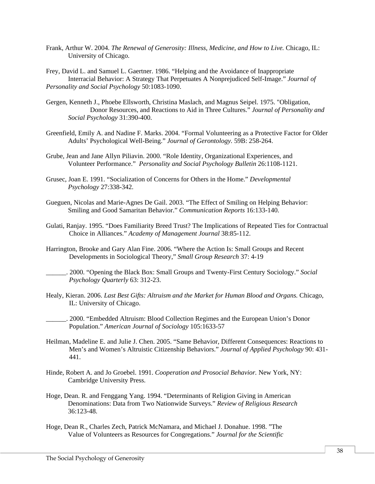- Frank, Arthur W. 2004. *The Renewal of Generosity: Illness, Medicine, and How to Live.* Chicago, IL: University of Chicago.
- Frey, David L. and Samuel L. Gaertner. 1986. "Helping and the Avoidance of Inappropriate Interracial Behavior: A Strategy That Perpetuates A Nonprejudiced Self-Image." *Journal of Personality and Social Psychology* 50:1083-1090.
- Gergen, Kenneth J., Phoebe Ellsworth, Christina Maslach, and Magnus Seipel. 1975. "Obligation, Donor Resources, and Reactions to Aid in Three Cultures." *Journal of Personality and Social Psychology* 31:390-400.
- Greenfield, Emily A. and Nadine F. Marks. 2004. "Formal Volunteering as a Protective Factor for Older Adults' Psychological Well-Being." *Journal of Gerontology.* 59B: 258-264.
- Grube, Jean and Jane Allyn Piliavin. 2000. "Role Identity, Organizational Experiences, and Volunteer Performance." *Personality and Social Psychology Bulletin* 26:1108-1121.
- Grusec, Joan E. 1991. "Socialization of Concerns for Others in the Home." *Developmental Psychology* 27:338-342.
- Gueguen, Nicolas and Marie-Agnes De Gail. 2003. "The Effect of Smiling on Helping Behavior: Smiling and Good Samaritan Behavior." *Communication Reports* 16:133-140.
- Gulati, Ranjay. 1995. "Does Familiarity Breed Trust? The Implications of Repeated Ties for Contractual Choice in Alliances." *Academy of Management Journal* 38:85-112.
- Harrington, Brooke and Gary Alan Fine. 2006. "Where the Action Is: Small Groups and Recent Developments in Sociological Theory," *Small Group Research* 37: 4-19
- \_\_\_\_\_\_. 2000. "Opening the Black Box: Small Groups and Twenty-First Century Sociology." *Social Psychology Quarterly* 63: 312-23.
- Healy, Kieran. 2006. *Last Best Gifts: Altruism and the Market for Human Blood and Organs.* Chicago, IL: University of Chicago.
	- \_\_\_\_\_\_. 2000. "Embedded Altruism: Blood Collection Regimes and the European Union's Donor Population." *American Journal of Sociology* 105:1633-57
- Heilman, Madeline E. and Julie J. Chen. 2005. "Same Behavior, Different Consequences: Reactions to Men's and Women's Altruistic Citizenship Behaviors." *Journal of Applied Psychology* 90: 431- 441.
- Hinde, Robert A. and Jo Groebel. 1991. *Cooperation and Prosocial Behavior.* New York, NY: Cambridge University Press.
- Hoge, Dean. R. and Fenggang Yang. 1994. "Determinants of Religion Giving in American Denominations: Data from Two Nationwide Surveys." *Review of Religious Research* 36:123-48.
- Hoge, Dean R., Charles Zech, Patrick McNamara, and Michael J. Donahue. 1998. "The Value of Volunteers as Resources for Congregations." *Journal for the Scientific*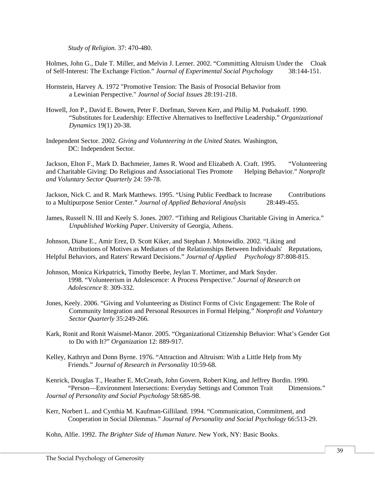*Study of Religion.* 37: 470-480.

Holmes, John G., Dale T. Miller, and Melvin J. Lerner. 2002. "Committing Altruism Under the Cloak of Self-Interest: The Exchange Fiction." *Journal of Experimental Social Psychology* 38:144-151.

- Hornstein, Harvey A. 1972 "Promotive Tension: The Basis of Prosocial Behavior from a Lewinian Perspective." *Journal of Social Issues* 28:191-218.
- Howell, Jon P., David E. Bowen, Peter F. Dorfman, Steven Kerr, and Philip M. Podsakoff. 1990. "Substitutes for Leadership: Effective Alternatives to Ineffective Leadership." *Organizational Dynamics* 19(1) 20-38.
- Independent Sector. 2002. *Giving and Volunteering in the United States.* Washington, DC: Independent Sector.

Jackson, Elton F., Mark D. Bachmeier, James R. Wood and Elizabeth A. Craft. 1995. "Volunteering and Charitable Giving: Do Religious and Associational Ties Promote Helping Behavior." *Nonprofit and Voluntary Sector Quarterly* 24: 59-78.

Jackson, Nick C. and R. Mark Matthews. 1995. "Using Public Feedback to Increase Contributions to a Multipurpose Senior Center." *Journal of Applied Behavioral Analysis* 28:449-455.

James, Russell N. III and Keely S. Jones. 2007. "Tithing and Religious Charitable Giving in America." *Unpublished Working Paper*. University of Georgia, Athens.

Johnson, Diane E., Amir Erez, D. Scott Kiker, and Stephan J. Motowidlo. 2002. "Liking and Attributions of Motives as Mediators of the Relationships Between Individuals' Reputations, Helpful Behaviors, and Raters' Reward Decisions." *Journal of Applied Psychology* 87:808-815.

- Johnson, Monica Kirkpatrick, Timothy Beebe, Jeylan T. Mortimer, and Mark Snyder. 1998. "Volunteerism in Adolescence: A Process Perspective." *Journal of Research on Adolescence* 8: 309-332.
- Jones, Keely. 2006. "Giving and Volunteering as Distinct Forms of Civic Engagement: The Role of Community Integration and Personal Resources in Formal Helping." *Nonprofit and Voluntary Sector Quarterly* 35:249-266.
- Kark, Ronit and Ronit Waismel-Manor. 2005. "Organizational Citizenship Behavior: What's Gender Got to Do with It?" *Organization* 12: 889-917.
- Kelley, Kathryn and Donn Byrne. 1976. "Attraction and Altruism: With a Little Help from My Friends." *Journal of Research in Personality* 10:59-68.

Kenrick, Douglas T., Heather E. McCreath, John Govern, Robert King, and Jeffrey Bordin. 1990. "Person—Environment Intersections: Everyday Settings and Common Trait Dimensions." *Journal of Personality and Social Psychology* 58:685-98.

Kerr, Norbert L. and Cynthia M. Kaufman-Gilliland. 1994. "Communication, Commitment, and Cooperation in Social Dilemmas." *Journal of Personality and Social Psychology* 66:513-29.

Kohn, Alfie. 1992. *The Brighter Side of Human Nature*. New York, NY: Basic Books.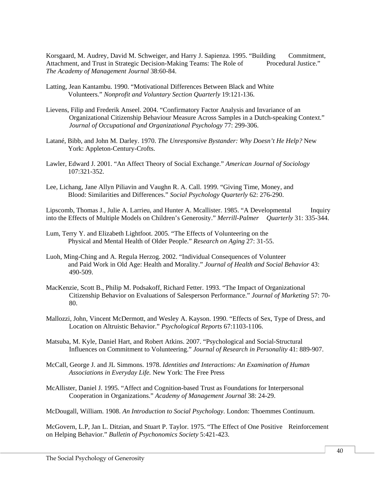Korsgaard, M. Audrey, David M. Schweiger, and Harry J. Sapienza. 1995. "Building Commitment, Attachment, and Trust in Strategic Decision-Making Teams: The Role of Procedural Justice." *The Academy of Management Journal* 38:60-84.

- Latting, Jean Kantambu. 1990. "Motivational Differences Between Black and White Volunteers." *Nonprofit and Voluntary Section Quarterly* 19:121-136.
- Lievens, Filip and Frederik Anseel. 2004. "Confirmatory Factor Analysis and Invariance of an Organizational Citizenship Behaviour Measure Across Samples in a Dutch-speaking Context." *Journal of Occupational and Organizational Psychology* 77: 299-306.
- Latané, Bibb, and John M. Darley. 1970. *The Unresponsive Bystander: Why Doesn't He Help?* New York: Appleton-Century-Crofts.
- Lawler, Edward J. 2001. "An Affect Theory of Social Exchange." *American Journal of Sociology* 107:321-352.
- Lee, Lichang, Jane Allyn Piliavin and Vaughn R. A. Call. 1999. "Giving Time, Money, and Blood: Similarities and Differences." *Social Psychology Quarterly* 62: 276-290.

Lipscomb, Thomas J., Julie A. Larrieu, and Hunter A. Mcallister. 1985. "A Developmental Inquiry into the Effects of Multiple Models on Children's Generosity." *Merrill-Palmer Quarterly* 31: 335-344.

- Lum, Terry Y. and Elizabeth Lightfoot. 2005. "The Effects of Volunteering on the Physical and Mental Health of Older People." *Research on Aging* 27: 31-55.
- Luoh, Ming-Ching and A. Regula Herzog. 2002. "Individual Consequences of Volunteer and Paid Work in Old Age: Health and Morality." *Journal of Health and Social Behavior* 43: 490-509.
- MacKenzie, Scott B., Philip M. Podsakoff, Richard Fetter. 1993. "The Impact of Organizational Citizenship Behavior on Evaluations of Salesperson Performance." *Journal of Marketing* 57: 70- 80.
- Mallozzi, John, Vincent McDermott, and Wesley A. Kayson. 1990. "Effects of Sex, Type of Dress, and Location on Altruistic Behavior." *Psychological Reports* 67:1103-1106.
- Matsuba, M. Kyle, Daniel Hart, and Robert Atkins. 2007. "Psychological and Social-Structural Influences on Commitment to Volunteering." *Journal of Research in Personality* 41: 889-907.
- McCall, George J. and JL Simmons. 1978. *Identities and Interactions: An Examination of Human Associations in Everyday Life.* New York: The Free Press
- McAllister, Daniel J. 1995. "Affect and Cognition-based Trust as Foundations for Interpersonal Cooperation in Organizations." *Academy of Management Journal* 38: 24-29.

McDougall, William. 1908. *An Introduction to Social Psychology*. London: Thoemmes Continuum.

McGovern, L.P, Jan L. Ditzian, and Stuart P. Taylor. 1975. "The Effect of One Positive Reinforcement on Helping Behavior." *Bulletin of Psychonomics Society* 5:421-423.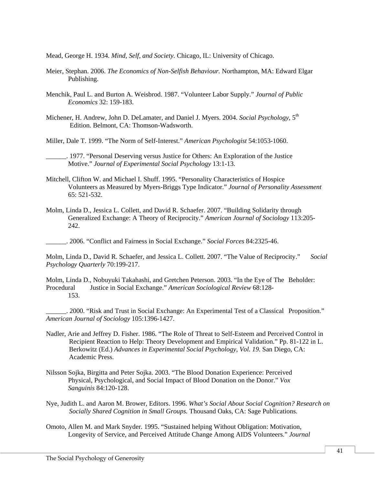Mead, George H. 1934. *Mind, Self, and Society.* Chicago, IL: University of Chicago.

- Meier, Stephan. 2006. *The Economics of Non-Selfish Behaviour.* Northampton, MA: Edward Elgar Publishing.
- Menchik, Paul L. and Burton A. Weisbrod. 1987. "Volunteer Labor Supply." *Journal of Public Economics* 32: 159-183.
- Michener, H. Andrew, John D. DeLamater, and Daniel J. Myers. 2004. *Social Psychology*, 5<sup>th</sup> Edition. Belmont, CA: Thomson-Wadsworth.

Miller, Dale T. 1999. "The Norm of Self-Interest." *American Psychologist* 54:1053-1060.

\_\_\_\_\_\_. 1977. "Personal Deserving versus Justice for Others: An Exploration of the Justice Motive." *Journal of Experimental Social Psychology* 13:1-13.

- Mitchell, Clifton W. and Michael I. Shuff. 1995. "Personality Characteristics of Hospice Volunteers as Measured by Myers-Briggs Type Indicator." *Journal of Personality Assessment*  65: 521-532.
- Molm, Linda D., Jessica L. Collett, and David R. Schaefer. 2007. "Building Solidarity through Generalized Exchange: A Theory of Reciprocity." *American Journal of Sociology* 113:205- 242.

\_\_\_\_\_\_. 2006. "Conflict and Fairness in Social Exchange." *Social Forces* 84:2325-46.

Molm, Linda D., David R. Schaefer, and Jessica L. Collett. 2007. "The Value of Reciprocity." *Social Psychology Quarterly* 70:199-217.

Molm, Linda D., Nobuyuki Takahashi, and Gretchen Peterson. 2003. "In the Eye of The Beholder: Procedural Justice in Social Exchange." *American Sociological Review* 68:128- 153.

\_\_\_\_\_\_. 2000. "Risk and Trust in Social Exchange: An Experimental Test of a Classical Proposition." *American Journal of Sociology* 105:1396-1427.

- Nadler, Arie and Jeffrey D. Fisher. 1986. "The Role of Threat to Self-Esteem and Perceived Control in Recipient Reaction to Help: Theory Development and Empirical Validation." Pp. 81-122 in L. Berkowitz (Ed.) *Advances in Experimental Social Psychology, Vol. 19.* San Diego, CA: Academic Press.
- Nilsson Sojka, Birgitta and Peter Sojka. 2003. "The Blood Donation Experience: Perceived Physical, Psychological, and Social Impact of Blood Donation on the Donor." *Vox Sanguinis* 84:120-128.
- Nye, Judith L. and Aaron M. Brower, Editors. 1996. *What's Social About Social Cognition? Research on Socially Shared Cognition in Small Groups.* Thousand Oaks, CA: Sage Publications.
- Omoto, Allen M. and Mark Snyder. 1995. "Sustained helping Without Obligation: Motivation, Longevity of Service, and Perceived Attitude Change Among AIDS Volunteers." *Journal*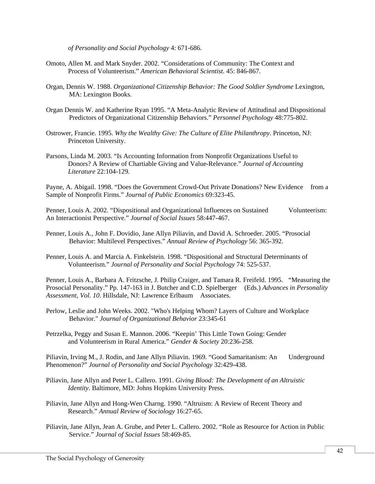*of Personality and Social Psychology* 4: 671-686.

- Omoto, Allen M. and Mark Snyder. 2002. "Considerations of Community: The Context and Process of Volunteerism." *American Behavioral Scientist.* 45: 846-867.
- Organ, Dennis W. 1988. *Organizational Citizenship Behavior: The Good Soldier Syndrome* Lexington, MA: Lexington Books.
- Organ Dennis W. and Katherine Ryan 1995. "A Meta-Analytic Review of Attitudinal and Dispositional Predictors of Organizational Citizenship Behaviors." *Personnel Psychology* 48:775-802.
- Ostrower, Francie. 1995. *Why the Wealthy Give: The Culture of Elite Philanthropy*. Princeton, NJ: Princeton University.
- Parsons, Linda M. 2003. "Is Accounting Information from Nonprofit Organizations Useful to Donors? A Review of Chartiable Giving and Value-Relevance." *Journal of Accounting Literature* 22:104-129.

Payne, A. Abigail. 1998. "Does the Government Crowd-Out Private Donations? New Evidence from a Sample of Nonprofit Firms." *Journal of Public Economics* 69:323-45.

Penner, Louis A. 2002. "Dispositional and Organizational Influences on Sustained Volunteerism: An Interactionist Perspective." *Journal of Social Issues* 58:447-467.

- Penner, Louis A., John F. Dovidio, Jane Allyn Piliavin, and David A. Schroeder. 2005. "Prosocial Behavior: Multilevel Perspectives." *Annual Review of Psychology* 56: 365-392.
- Penner, Louis A. and Marcia A. Finkelstein. 1998. "Dispositional and Structural Determinants of Volunteerism." *Journal of Personality and Social Psychology* 74: 525-537.

Penner, Louis A., Barbara A. Fritzsche, J. Philip Craiger, and Tamara R. Freifeld. 1995. "Measuring the Prosocial Personality." Pp. 147-163 in J. Butcher and C.D. Spielberger (Eds.) *Advances in Personality Assessment, Vol. 10*. Hillsdale, NJ: Lawrence Erlbaum Associates.

- Perlow, Leslie and John Weeks. 2002. "Who's Helping Whom? Layers of Culture and Workplace Behavior." *Journal of Organizational Behavior* 23:345-61
- Petrzelka, Peggy and Susan E. Mannon. 2006. "Keepin' This Little Town Going: Gender and Volunteerism in Rural America." *Gender & Society* 20:236-258.

Piliavin, Irving M., J. Rodin, and Jane Allyn Piliavin. 1969. "Good Samaritanism: An Underground Phenomenon?" *Journal of Personality and Social Psychology* 32:429-438.

- Piliavin, Jane Allyn and Peter L. Callero. 1991. *Giving Blood: The Development of an Altruistic Identity*. Baltimore, MD: Johns Hopkins University Press.
- Piliavin, Jane Allyn and Hong-Wen Charng. 1990. "Altruism: A Review of Recent Theory and Research." *Annual Review of Sociology* 16:27-65.
- Piliavin, Jane Allyn, Jean A. Grube, and Peter L. Callero. 2002. "Role as Resource for Action in Public Service." *Journal of Social Issues* 58:469-85.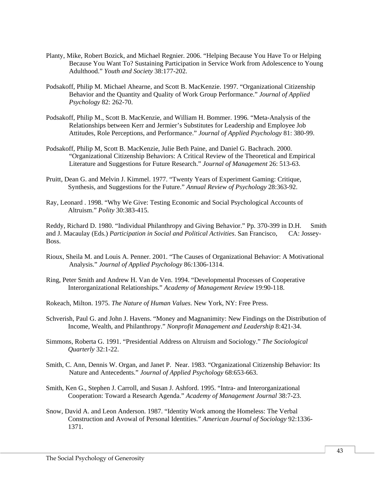- Planty, Mike, Robert Bozick, and Michael Regnier. 2006. "Helping Because You Have To or Helping Because You Want To? Sustaining Participation in Service Work from Adolescence to Young Adulthood." *Youth and Society* 38:177-202.
- Podsakoff, Philip M. Michael Ahearne, and Scott B. MacKenzie. 1997. "Organizational Citizenship Behavior and the Quantity and Quality of Work Group Performance." *Journal of Applied Psychology* 82: 262-70.
- Podsakoff, Philip M., Scott B. MacKenzie, and William H. Bommer. 1996. "Meta-Analysis of the Relationships between Kerr and Jermier's Substitutes for Leadership and Employee Job Attitudes, Role Perceptions, and Performance." *Journal of Applied Psychology* 81: 380-99.
- Podsakoff, Philip M, Scott B. MacKenzie, Julie Beth Paine, and Daniel G. Bachrach. 2000. "Organizational Citizenship Behaviors: A Critical Review of the Theoretical and Empirical Literature and Suggestions for Future Research." *Journal of Management* 26: 513-63.
- Pruitt, Dean G. and Melvin J. Kimmel. 1977. "Twenty Years of Experiment Gaming: Critique, Synthesis, and Suggestions for the Future." *Annual Review of Psychology* 28:363-92.
- Ray, Leonard . 1998. "Why We Give: Testing Economic and Social Psychological Accounts of Altruism." *Polity* 30:383-415.

Reddy, Richard D. 1980. "Individual Philanthropy and Giving Behavior." Pp. 370-399 in D.H. Smith and J. Macaulay (Eds.) *Participation in Social and Political Activities*. San Francisco, CA: Jossey-Boss.

- Rioux, Sheila M. and Louis A. Penner. 2001. "The Causes of Organizational Behavior: A Motivational Analysis." *Journal of Applied Psychology* 86*:*1306-1314.
- Ring, Peter Smith and Andrew H. Van de Ven. 1994. "Developmental Processes of Cooperative Interorganizational Relationships." *Academy of Management Review* 19:90-118.
- Rokeach, Milton. 1975. *The Nature of Human Values*. New York, NY: Free Press.
- Schverish, Paul G. and John J. Havens. "Money and Magnanimity: New Findings on the Distribution of Income, Wealth, and Philanthropy." *Nonprofit Management and Leadership* 8:421-34.
- Simmons, Roberta G. 1991. "Presidential Address on Altruism and Sociology." *The Sociological Quarterly* 32:1-22.
- Smith, C. Ann, Dennis W. Organ, and Janet P. Near. 1983. "Organizational Citizenship Behavior: Its Nature and Antecedents." *Journal of Applied Psychology* 68:653-663.
- Smith, Ken G., Stephen J. Carroll, and Susan J. Ashford. 1995. "Intra- and Interorganizational Cooperation: Toward a Research Agenda." *Academy of Management Journal* 38:7-23.
- Snow, David A. and Leon Anderson. 1987. "Identity Work among the Homeless: The Verbal Construction and Avowal of Personal Identities." *American Journal of Sociology* 92:1336- 1371.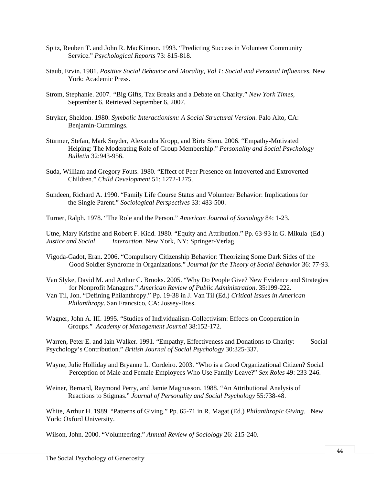- Spitz, Reuben T. and John R. MacKinnon. 1993. "Predicting Success in Volunteer Community Service." *Psychological Reports* 73: 815-818.
- Staub, Ervin. 1981. *Positive Social Behavior and Morality, Vol 1: Social and Personal Influences.* New York: Academic Press.
- Strom, Stephanie. 2007. *"*Big Gifts, Tax Breaks and a Debate on Charity." *New York Times*, September 6. Retrieved September 6, 2007.
- Stryker, Sheldon. 1980. *Symbolic Interactionism: A Social Structural Version.* Palo Alto, CA: Benjamin-Cummings.
- Stürmer, Stefan, Mark Snyder, Alexandra Kropp, and Birte Siem. 2006. "Empathy-Motivated Helping: The Moderating Role of Group Membership." *Personality and Social Psychology Bulletin* 32:943-956.
- Suda, William and Gregory Fouts. 1980. "Effect of Peer Presence on Introverted and Extroverted Children." *Child Development* 51: 1272-1275.
- Sundeen, Richard A. 1990. "Family Life Course Status and Volunteer Behavior: Implications for the Single Parent." *Sociological Perspectives* 33: 483-500.
- Turner, Ralph. 1978. "The Role and the Person." *American Journal of Sociology* 84: 1-23.

Utne, Mary Kristine and Robert F. Kidd. 1980. "Equity and Attribution." Pp. 63-93 in G. Mikula (Ed.) *Justice and Social Interaction*. New York, NY: Springer-Verlag.

- Vigoda-Gadot, Eran. 2006. "Compulsory Citizenship Behavior: Theorizing Some Dark Sides of the Good Soldier Syndrome in Organizations." *Journal for the Theory of Social Behavior* 36: 77-93.
- Van Slyke, David M. and Arthur C. Brooks. 2005. "Why Do People Give? New Evidence and Strategies for Nonprofit Managers." *American Review of Public Administration*. 35:199-222.
- Van Til, Jon. "Defining Philanthropy." Pp. 19-38 in J. Van Til (Ed.) *Critical Issues in American Philanthropy*. San Francsico, CA: Jossey-Boss.
- Wagner, John A. III. 1995. "Studies of Individualism-Collectivism: Effects on Cooperation in Groups." *Academy of Management Journal* 38:152-172.

Warren, Peter E. and Iain Walker. 1991. "Empathy, Effectiveness and Donations to Charity: Social Psychology's Contribution." *British Journal of Social Psychology* 30:325-337.

- Wayne, Julie Holliday and Bryanne L. Cordeiro. 2003. "Who is a Good Organizational Citizen? Social Perception of Male and Female Employees Who Use Family Leave?" *Sex Roles* 49: 233-246.
- Weiner, Bernard, Raymond Perry, and Jamie Magnusson. 1988. "An Attributional Analysis of Reactions to Stigmas." *Journal of Personality and Social Psychology* 55:738-48.

White, Arthur H. 1989. "Patterns of Giving." Pp. 65-71 in R. Magat (Ed.) *Philanthropic Giving.* New York: Oxford University.

Wilson, John. 2000. "Volunteering." *Annual Review of Sociology* 26: 215-240.